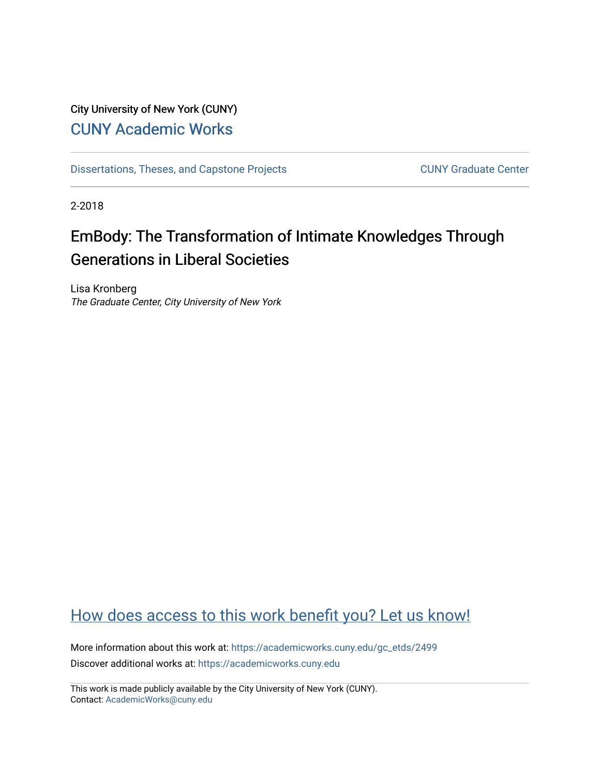## City University of New York (CUNY) [CUNY Academic Works](https://academicworks.cuny.edu/)

[Dissertations, Theses, and Capstone Projects](https://academicworks.cuny.edu/gc_etds) CUNY Graduate Center

2-2018

# EmBody: The Transformation of Intimate Knowledges Through Generations in Liberal Societies

Lisa Kronberg The Graduate Center, City University of New York

## [How does access to this work benefit you? Let us know!](http://ols.cuny.edu/academicworks/?ref=https://academicworks.cuny.edu/gc_etds/2499)

More information about this work at: [https://academicworks.cuny.edu/gc\\_etds/2499](https://academicworks.cuny.edu/gc_etds/2499) Discover additional works at: [https://academicworks.cuny.edu](https://academicworks.cuny.edu/?)

This work is made publicly available by the City University of New York (CUNY). Contact: [AcademicWorks@cuny.edu](mailto:AcademicWorks@cuny.edu)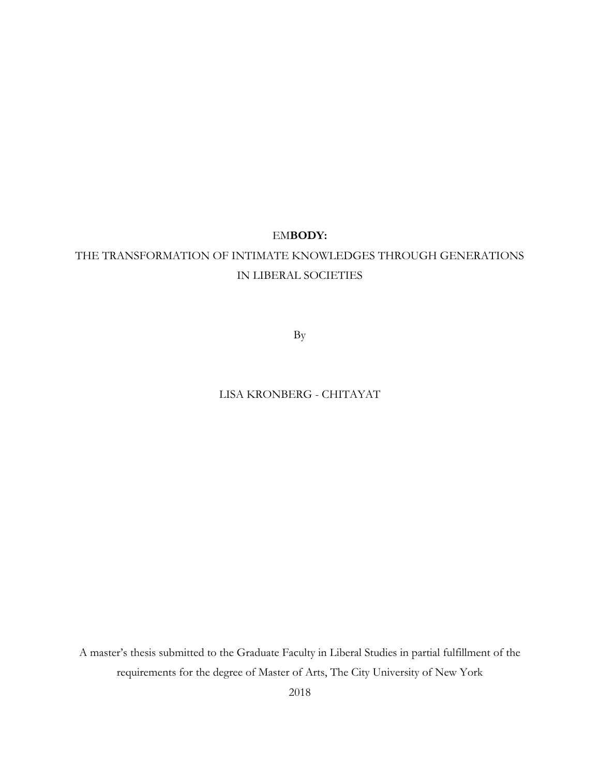### EM**BODY:**

## THE TRANSFORMATION OF INTIMATE KNOWLEDGES THROUGH GENERATIONS IN LIBERAL SOCIETIES

By

### LISA KRONBERG - CHITAYAT

A master's thesis submitted to the Graduate Faculty in Liberal Studies in partial fulfillment of the requirements for the degree of Master of Arts, The City University of New York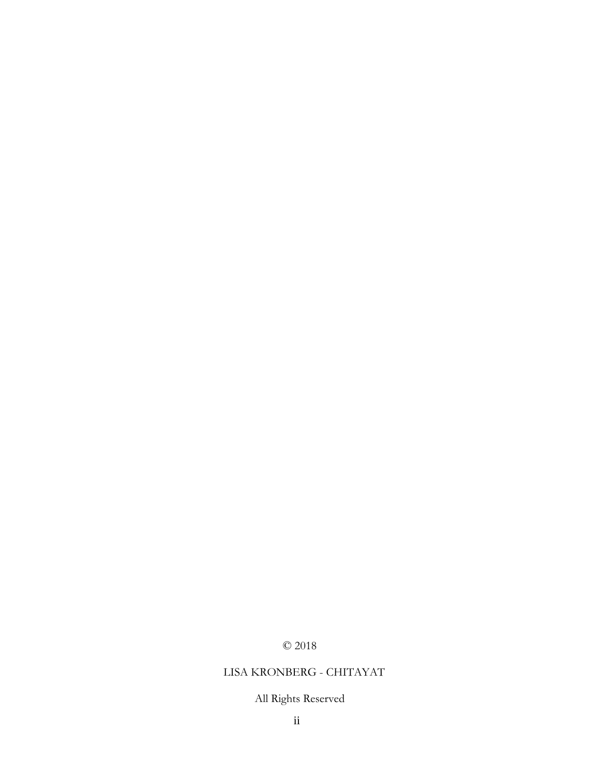## © 2018

### LISA KRONBERG - CHITAYAT

## All Rights Reserved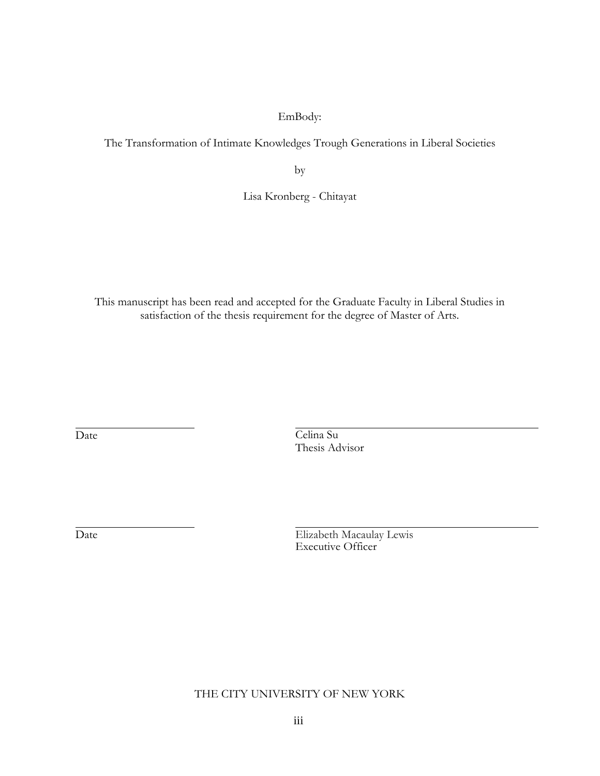### EmBody:

The Transformation of Intimate Knowledges Trough Generations in Liberal Societies

by

Lisa Kronberg - Chitayat

This manuscript has been read and accepted for the Graduate Faculty in Liberal Studies in satisfaction of the thesis requirement for the degree of Master of Arts.

Date Celina Su Thesis Advisor

Date Elizabeth Macaulay Lewis Executive Officer

THE CITY UNIVERSITY OF NEW YORK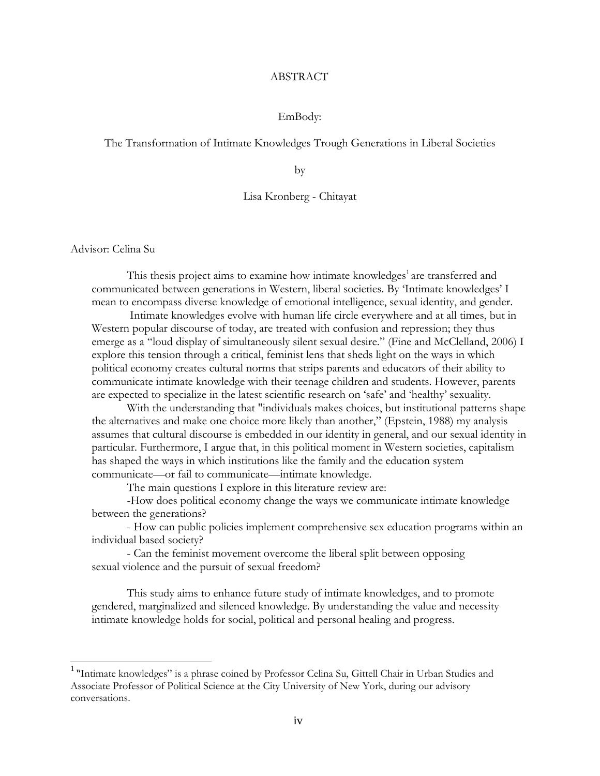#### ABSTRACT

#### EmBody:

#### The Transformation of Intimate Knowledges Trough Generations in Liberal Societies

by

#### Lisa Kronberg - Chitayat

Advisor: Celina Su

This thesis project aims to examine how intimate knowledges<sup>1</sup> are transferred and communicated between generations in Western, liberal societies. By 'Intimate knowledges' I mean to encompass diverse knowledge of emotional intelligence, sexual identity, and gender.

Intimate knowledges evolve with human life circle everywhere and at all times, but in Western popular discourse of today, are treated with confusion and repression; they thus emerge as a "loud display of simultaneously silent sexual desire." (Fine and McClelland, 2006) I explore this tension through a critical, feminist lens that sheds light on the ways in which political economy creates cultural norms that strips parents and educators of their ability to communicate intimate knowledge with their teenage children and students. However, parents are expected to specialize in the latest scientific research on 'safe' and 'healthy' sexuality.

With the understanding that "individuals makes choices, but institutional patterns shape the alternatives and make one choice more likely than another," (Epstein, 1988) my analysis assumes that cultural discourse is embedded in our identity in general, and our sexual identity in particular. Furthermore, I argue that, in this political moment in Western societies, capitalism has shaped the ways in which institutions like the family and the education system communicate—or fail to communicate—intimate knowledge.

The main questions I explore in this literature review are:

-How does political economy change the ways we communicate intimate knowledge between the generations?

- How can public policies implement comprehensive sex education programs within an individual based society?

- Can the feminist movement overcome the liberal split between opposing sexual violence and the pursuit of sexual freedom?

This study aims to enhance future study of intimate knowledges, and to promote gendered, marginalized and silenced knowledge. By understanding the value and necessity intimate knowledge holds for social, political and personal healing and progress.

<sup>&</sup>lt;sup>1</sup> "Intimate knowledges" is a phrase coined by Professor Celina Su, Gittell Chair in Urban Studies and Associate Professor of Political Science at the City University of New York, during our advisory conversations.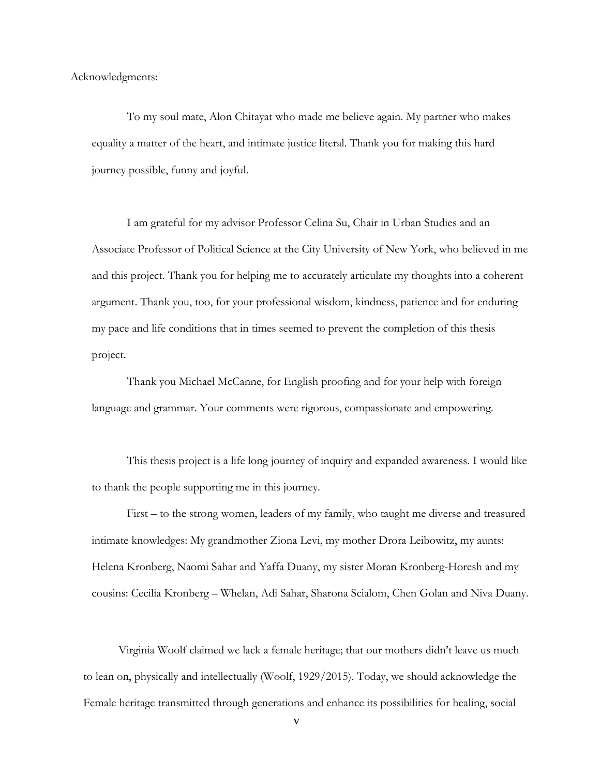Acknowledgments:

To my soul mate, Alon Chitayat who made me believe again. My partner who makes equality a matter of the heart, and intimate justice literal. Thank you for making this hard journey possible, funny and joyful.

I am grateful for my advisor Professor Celina Su, Chair in Urban Studies and an Associate Professor of Political Science at the City University of New York, who believed in me and this project. Thank you for helping me to accurately articulate my thoughts into a coherent argument. Thank you, too, for your professional wisdom, kindness, patience and for enduring my pace and life conditions that in times seemed to prevent the completion of this thesis project.

Thank you Michael McCanne, for English proofing and for your help with foreign language and grammar. Your comments were rigorous, compassionate and empowering.

This thesis project is a life long journey of inquiry and expanded awareness. I would like to thank the people supporting me in this journey.

First – to the strong women, leaders of my family, who taught me diverse and treasured intimate knowledges: My grandmother Ziona Levi, my mother Drora Leibowitz, my aunts: Helena Kronberg, Naomi Sahar and Yaffa Duany, my sister Moran Kronberg-Horesh and my cousins: Cecilia Kronberg – Whelan, Adi Sahar, Sharona Scialom, Chen Golan and Niva Duany.

Virginia Woolf claimed we lack a female heritage; that our mothers didn't leave us much to lean on, physically and intellectually (Woolf, 1929/2015). Today, we should acknowledge the Female heritage transmitted through generations and enhance its possibilities for healing, social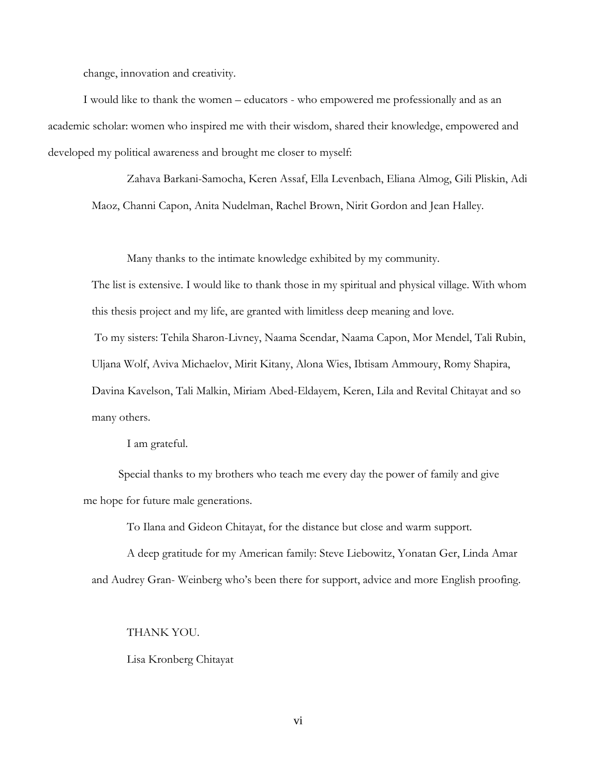change, innovation and creativity.

I would like to thank the women – educators - who empowered me professionally and as an academic scholar: women who inspired me with their wisdom, shared their knowledge, empowered and developed my political awareness and brought me closer to myself:

Zahava Barkani-Samocha, Keren Assaf, Ella Levenbach, Eliana Almog, Gili Pliskin, Adi Maoz, Channi Capon, Anita Nudelman, Rachel Brown, Nirit Gordon and Jean Halley.

Many thanks to the intimate knowledge exhibited by my community.

The list is extensive. I would like to thank those in my spiritual and physical village. With whom this thesis project and my life, are granted with limitless deep meaning and love.

To my sisters: Tehila Sharon-Livney, Naama Scendar, Naama Capon, Mor Mendel, Tali Rubin, Uljana Wolf, Aviva Michaelov, Mirit Kitany, Alona Wies, Ibtisam Ammoury, Romy Shapira, Davina Kavelson, Tali Malkin, Miriam Abed-Eldayem, Keren, Lila and Revital Chitayat and so many others.

I am grateful.

Special thanks to my brothers who teach me every day the power of family and give me hope for future male generations.

To Ilana and Gideon Chitayat, for the distance but close and warm support.

A deep gratitude for my American family: Steve Liebowitz, Yonatan Ger, Linda Amar and Audrey Gran- Weinberg who's been there for support, advice and more English proofing.

THANK YOU.

Lisa Kronberg Chitayat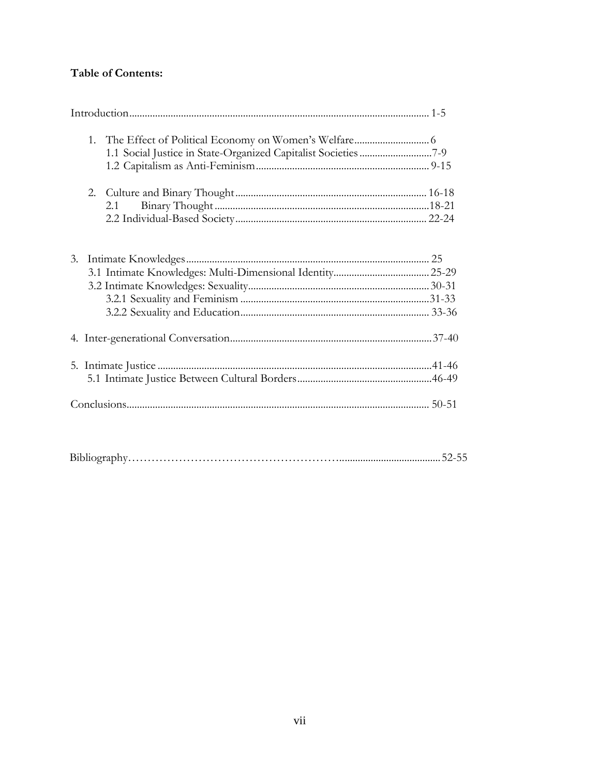## **Table of Contents:**

|    | 2. |     |  |
|----|----|-----|--|
|    |    | 2.1 |  |
|    |    |     |  |
|    |    |     |  |
| 3. |    |     |  |
|    |    |     |  |
|    |    |     |  |
|    |    |     |  |
|    |    |     |  |
|    |    |     |  |
|    |    |     |  |
|    |    |     |  |
|    |    |     |  |
|    |    |     |  |

|  | . |
|--|---|
|--|---|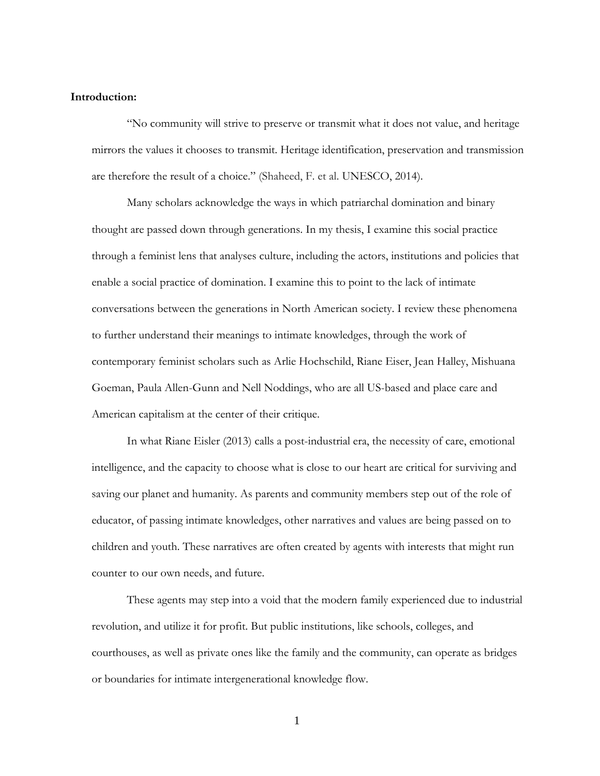#### <span id="page-8-0"></span>**Introduction:**

"No community will strive to preserve or transmit what it does not value, and heritage mirrors the values it chooses to transmit. Heritage identification, preservation and transmission are therefore the result of a choice." (Shaheed, F. et al. UNESCO, 2014).

Many scholars acknowledge the ways in which patriarchal domination and binary thought are passed down through generations. In my thesis, I examine this social practice through a feminist lens that analyses culture, including the actors, institutions and policies that enable a social practice of domination. I examine this to point to the lack of intimate conversations between the generations in North American society. I review these phenomena to further understand their meanings to intimate knowledges, through the work of contemporary feminist scholars such as Arlie Hochschild, Riane Eiser, Jean Halley, Mishuana Goeman, Paula Allen-Gunn and Nell Noddings, who are all US-based and place care and American capitalism at the center of their critique.

In what Riane Eisler (2013) calls a post-industrial era, the necessity of care, emotional intelligence, and the capacity to choose what is close to our heart are critical for surviving and saving our planet and humanity. As parents and community members step out of the role of educator, of passing intimate knowledges, other narratives and values are being passed on to children and youth. These narratives are often created by agents with interests that might run counter to our own needs, and future.

These agents may step into a void that the modern family experienced due to industrial revolution, and utilize it for profit. But public institutions, like schools, colleges, and courthouses, as well as private ones like the family and the community, can operate as bridges or boundaries for intimate intergenerational knowledge flow.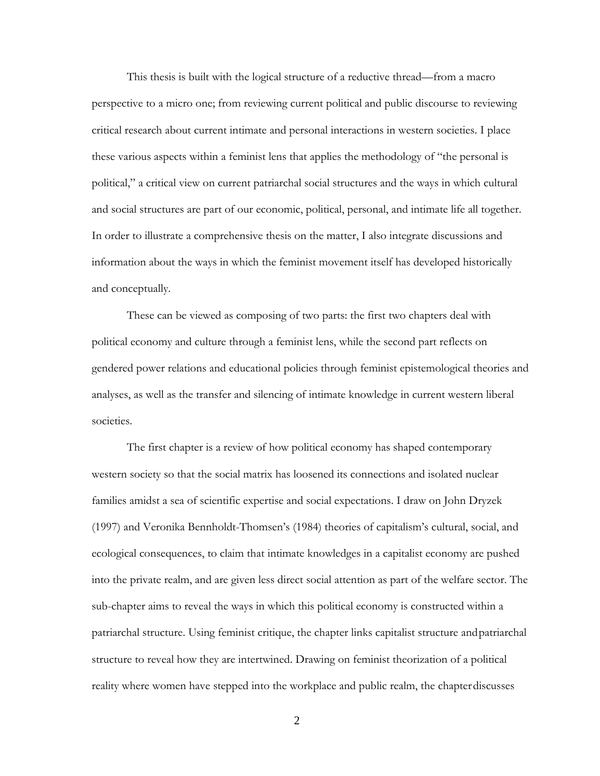This thesis is built with the logical structure of a reductive thread—from a macro perspective to a micro one; from reviewing current political and public discourse to reviewing critical research about current intimate and personal interactions in western societies. I place these various aspects within a feminist lens that applies the methodology of "the personal is political," a critical view on current patriarchal social structures and the ways in which cultural and social structures are part of our economic, political, personal, and intimate life all together. In order to illustrate a comprehensive thesis on the matter, I also integrate discussions and information about the ways in which the feminist movement itself has developed historically and conceptually.

These can be viewed as composing of two parts: the first two chapters deal with political economy and culture through a feminist lens, while the second part reflects on gendered power relations and educational policies through feminist epistemological theories and analyses, as well as the transfer and silencing of intimate knowledge in current western liberal societies.

The first chapter is a review of how political economy has shaped contemporary western society so that the social matrix has loosened its connections and isolated nuclear families amidst a sea of scientific expertise and social expectations. I draw on John Dryzek (1997) and Veronika Bennholdt-Thomsen's (1984) theories of capitalism's cultural, social, and ecological consequences, to claim that intimate knowledges in a capitalist economy are pushed into the private realm, and are given less direct social attention as part of the welfare sector. The sub-chapter aims to reveal the ways in which this political economy is constructed within a patriarchal structure. Using feminist critique, the chapter links capitalist structure andpatriarchal structure to reveal how they are intertwined. Drawing on feminist theorization of a political reality where women have stepped into the workplace and public realm, the chapter discusses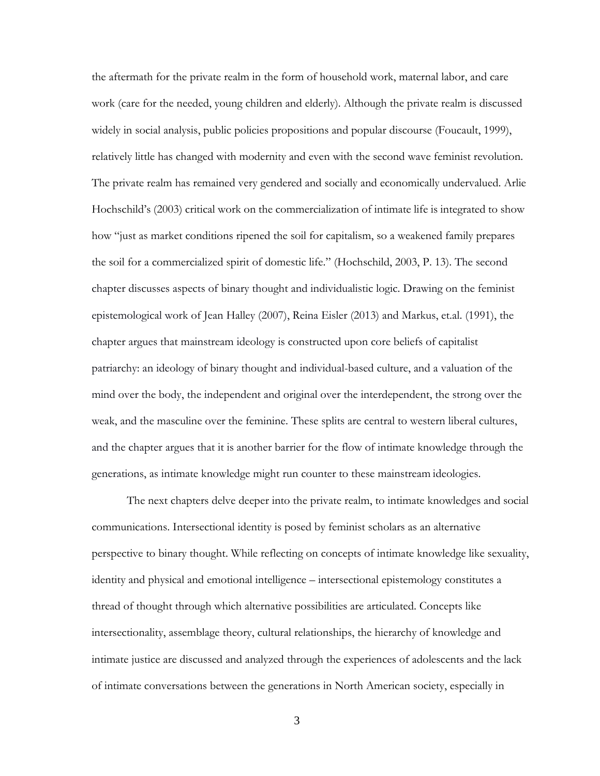the aftermath for the private realm in the form of household work, maternal labor, and care work (care for the needed, young children and elderly). Although the private realm is discussed widely in social analysis, public policies propositions and popular discourse (Foucault, 1999), relatively little has changed with modernity and even with the second wave feminist revolution. The private realm has remained very gendered and socially and economically undervalued. Arlie Hochschild's (2003) critical work on the commercialization of intimate life is integrated to show how "just as market conditions ripened the soil for capitalism, so a weakened family prepares the soil for a commercialized spirit of domestic life." (Hochschild, 2003, P. 13). The second chapter discusses aspects of binary thought and individualistic logic. Drawing on the feminist epistemological work of Jean Halley (2007), Reina Eisler (2013) and Markus, et.al. (1991), the chapter argues that mainstream ideology is constructed upon core beliefs of capitalist patriarchy: an ideology of binary thought and individual-based culture, and a valuation of the mind over the body, the independent and original over the interdependent, the strong over the weak, and the masculine over the feminine. These splits are central to western liberal cultures, and the chapter argues that it is another barrier for the flow of intimate knowledge through the generations, as intimate knowledge might run counter to these mainstream ideologies.

The next chapters delve deeper into the private realm, to intimate knowledges and social communications. Intersectional identity is posed by feminist scholars as an alternative perspective to binary thought. While reflecting on concepts of intimate knowledge like sexuality, identity and physical and emotional intelligence – intersectional epistemology constitutes a thread of thought through which alternative possibilities are articulated. Concepts like intersectionality, assemblage theory, cultural relationships, the hierarchy of knowledge and intimate justice are discussed and analyzed through the experiences of adolescents and the lack of intimate conversations between the generations in North American society, especially in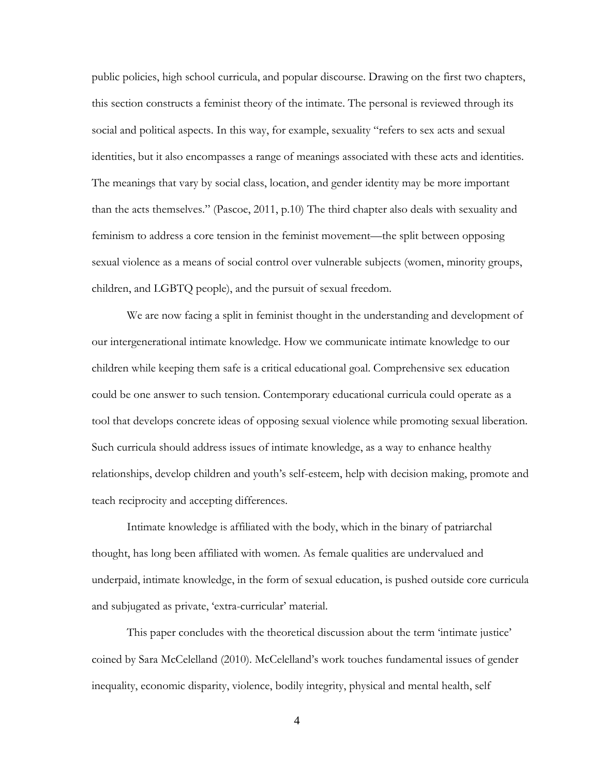public policies, high school curricula, and popular discourse. Drawing on the first two chapters, this section constructs a feminist theory of the intimate. The personal is reviewed through its social and political aspects. In this way, for example, sexuality "refers to sex acts and sexual identities, but it also encompasses a range of meanings associated with these acts and identities. The meanings that vary by social class, location, and gender identity may be more important than the acts themselves." (Pascoe, 2011, p.10) The third chapter also deals with sexuality and feminism to address a core tension in the feminist movement—the split between opposing sexual violence as a means of social control over vulnerable subjects (women, minority groups, children, and LGBTQ people), and the pursuit of sexual freedom.

We are now facing a split in feminist thought in the understanding and development of our intergenerational intimate knowledge. How we communicate intimate knowledge to our children while keeping them safe is a critical educational goal. Comprehensive sex education could be one answer to such tension. Contemporary educational curricula could operate as a tool that develops concrete ideas of opposing sexual violence while promoting sexual liberation. Such curricula should address issues of intimate knowledge, as a way to enhance healthy relationships, develop children and youth's self-esteem, help with decision making, promote and teach reciprocity and accepting differences.

Intimate knowledge is affiliated with the body, which in the binary of patriarchal thought, has long been affiliated with women. As female qualities are undervalued and underpaid, intimate knowledge, in the form of sexual education, is pushed outside core curricula and subjugated as private, 'extra-curricular' material.

This paper concludes with the theoretical discussion about the term 'intimate justice' coined by Sara McCelelland (2010). McCelelland's work touches fundamental issues of gender inequality, economic disparity, violence, bodily integrity, physical and mental health, self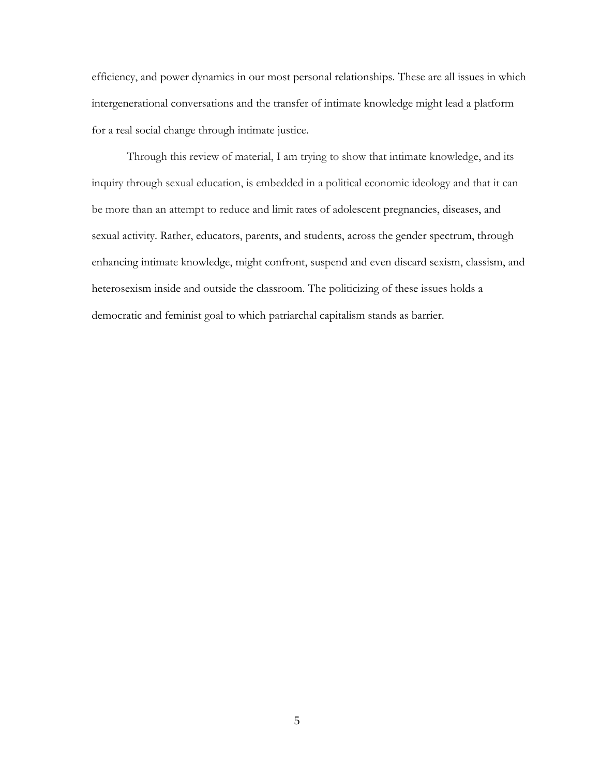efficiency, and power dynamics in our most personal relationships. These are all issues in which intergenerational conversations and the transfer of intimate knowledge might lead a platform for a real social change through intimate justice.

Through this review of material, I am trying to show that intimate knowledge, and its inquiry through sexual education, is embedded in a political economic ideology and that it can be more than an attempt to reduce and limit rates of adolescent pregnancies, diseases, and sexual activity. Rather, educators, parents, and students, across the gender spectrum, through enhancing intimate knowledge, might confront, suspend and even discard sexism, classism, and heterosexism inside and outside the classroom. The politicizing of these issues holds a democratic and feminist goal to which patriarchal capitalism stands as barrier.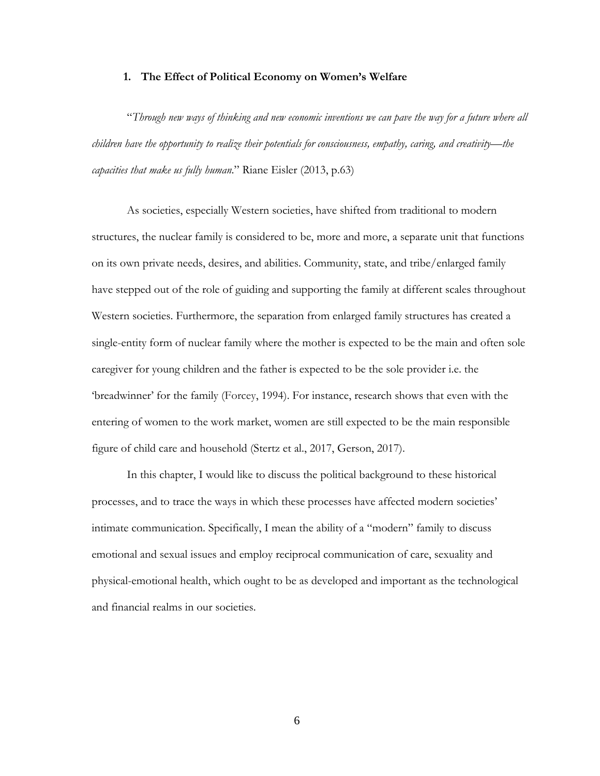#### **1. The Effect of Political Economy on Women's Welfare**

<span id="page-13-0"></span>"*Through new ways of thinking and new economic inventions we can pave the way for a future where all children have the opportunity to realize their potentials for consciousness, empathy, caring, and creativity—the capacities that make us fully human*." Riane Eisler (2013, p.63)

As societies, especially Western societies, have shifted from traditional to modern structures, the nuclear family is considered to be, more and more, a separate unit that functions on its own private needs, desires, and abilities. Community, state, and tribe/enlarged family have stepped out of the role of guiding and supporting the family at different scales throughout Western societies. Furthermore, the separation from enlarged family structures has created a single-entity form of nuclear family where the mother is expected to be the main and often sole caregiver for young children and the father is expected to be the sole provider i.e. the 'breadwinner' for the family (Forcey, 1994). For instance, research shows that even with the entering of women to the work market, women are still expected to be the main responsible figure of child care and household (Stertz et al., 2017, Gerson, 2017).

In this chapter, I would like to discuss the political background to these historical processes, and to trace the ways in which these processes have affected modern societies' intimate communication. Specifically, I mean the ability of a "modern" family to discuss emotional and sexual issues and employ reciprocal communication of care, sexuality and physical-emotional health, which ought to be as developed and important as the technological and financial realms in our societies.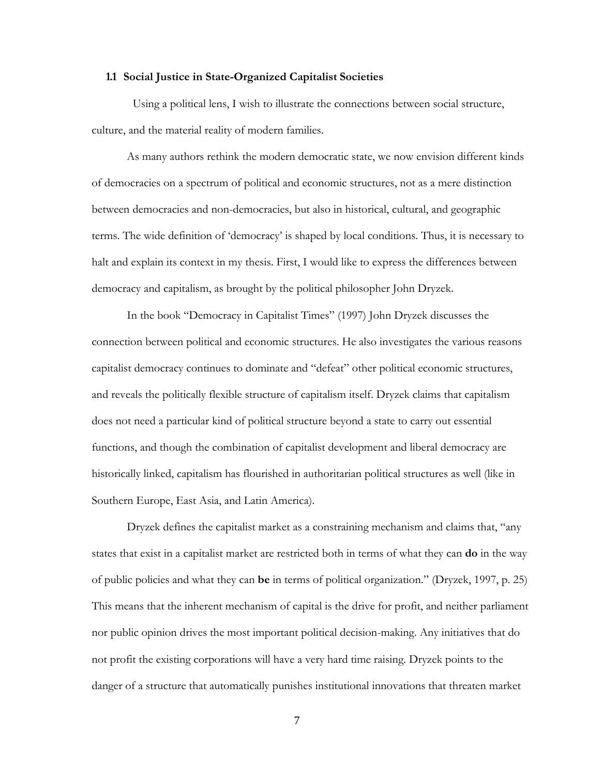#### **1.1 Social Justice in State-Organized Capitalist Societies**

<span id="page-14-0"></span>Using a political lens, I wish to illustrate the connections between social structure, culture, and the material reality of modern families.

As many authors rethink the modern democratic state, we now envision different kinds of democracies on a spectrum of political and economic structures, not as a mere distinction between democracies and non-democracies, but also in historical, cultural, and geographic terms. The wide definition of 'democracy' is shaped by local conditions. Thus, it is necessary to halt and explain its context in my thesis. First, I would like to express the differences between democracy and capitalism, as brought by the political philosopher John Dryzek.

In the book "Democracy in Capitalist Times" (1997) John Dryzek discusses the connection between political and economic structures. He also investigates the various reasons capitalist democracy continues to dominate and "defeat" other political economic structures, and reveals the politically flexible structure of capitalism itself. Dryzek claims that capitalism does not need a particular kind of political structure beyond a state to carry out essential functions, and though the combination of capitalist development and liberal democracy are historically linked, capitalism has flourished in authoritarian political structures as well (like in Southern Europe, East Asia, and Latin America).

Dryzek defines the capitalist market as a constraining mechanism and claims that, "any states that exist in a capitalist market are restricted both in terms of what they can **do** in the way of public policies and what they can **be** in terms of political organization." (Dryzek, 1997, p. 25) This means that the inherent mechanism of capital is the drive for profit, and neither parliament nor public opinion drives the most important political decision-making. Any initiatives that do not profit the existing corporations will have a very hard time raising. Dryzek points to the danger of a structure that automatically punishes institutional innovations that threaten market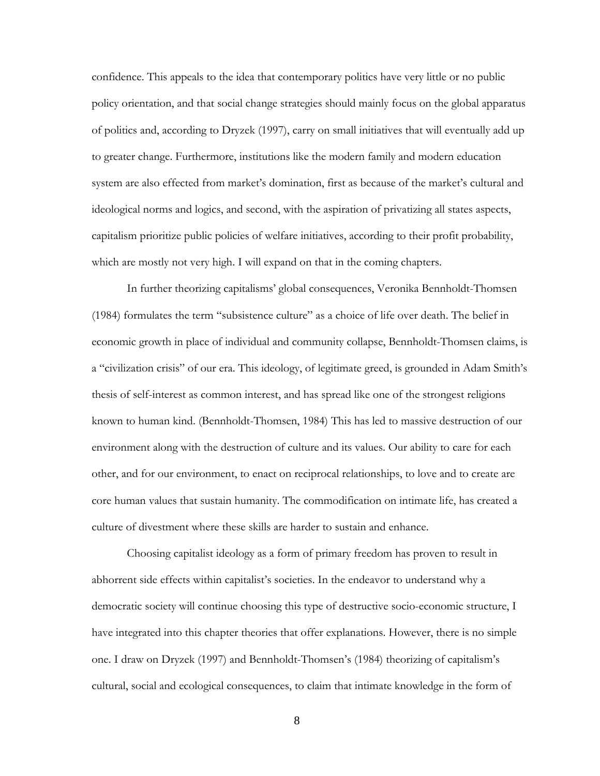confidence. This appeals to the idea that contemporary politics have very little or no public policy orientation, and that social change strategies should mainly focus on the global apparatus of politics and, according to Dryzek (1997), carry on small initiatives that will eventually add up to greater change. Furthermore, institutions like the modern family and modern education system are also effected from market's domination, first as because of the market's cultural and ideological norms and logics, and second, with the aspiration of privatizing all states aspects, capitalism prioritize public policies of welfare initiatives, according to their profit probability, which are mostly not very high. I will expand on that in the coming chapters.

In further theorizing capitalisms' global consequences, Veronika Bennholdt-Thomsen (1984) formulates the term "subsistence culture" as a choice of life over death. The belief in economic growth in place of individual and community collapse, Bennholdt-Thomsen claims, is a "civilization crisis" of our era. This ideology, of legitimate greed, is grounded in Adam Smith's thesis of self-interest as common interest, and has spread like one of the strongest religions known to human kind. (Bennholdt-Thomsen, 1984) This has led to massive destruction of our environment along with the destruction of culture and its values. Our ability to care for each other, and for our environment, to enact on reciprocal relationships, to love and to create are core human values that sustain humanity. The commodification on intimate life, has created a culture of divestment where these skills are harder to sustain and enhance.

Choosing capitalist ideology as a form of primary freedom has proven to result in abhorrent side effects within capitalist's societies. In the endeavor to understand why a democratic society will continue choosing this type of destructive socio-economic structure, I have integrated into this chapter theories that offer explanations. However, there is no simple one. I draw on Dryzek (1997) and Bennholdt-Thomsen's (1984) theorizing of capitalism's cultural, social and ecological consequences, to claim that intimate knowledge in the form of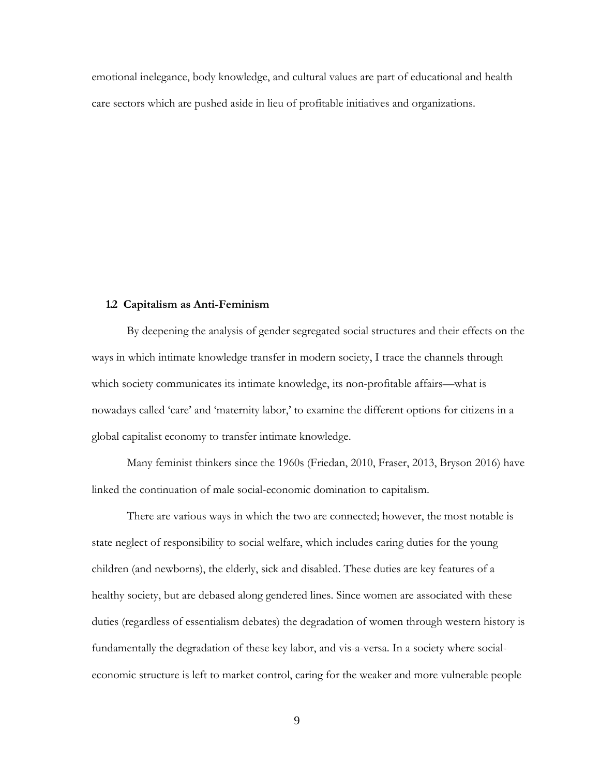emotional inelegance, body knowledge, and cultural values are part of educational and health care sectors which are pushed aside in lieu of profitable initiatives and organizations.

#### **1.2 Capitalism as Anti-Feminism**

<span id="page-16-0"></span>By deepening the analysis of gender segregated social structures and their effects on the ways in which intimate knowledge transfer in modern society, I trace the channels through which society communicates its intimate knowledge, its non-profitable affairs—what is nowadays called 'care' and 'maternity labor,' to examine the different options for citizens in a global capitalist economy to transfer intimate knowledge.

Many feminist thinkers since the 1960s (Friedan, 2010, Fraser, 2013, Bryson 2016) have linked the continuation of male social-economic domination to capitalism.

There are various ways in which the two are connected; however, the most notable is state neglect of responsibility to social welfare, which includes caring duties for the young children (and newborns), the elderly, sick and disabled. These duties are key features of a healthy society, but are debased along gendered lines. Since women are associated with these duties (regardless of essentialism debates) the degradation of women through western history is fundamentally the degradation of these key labor, and vis-a-versa. In a society where socialeconomic structure is left to market control, caring for the weaker and more vulnerable people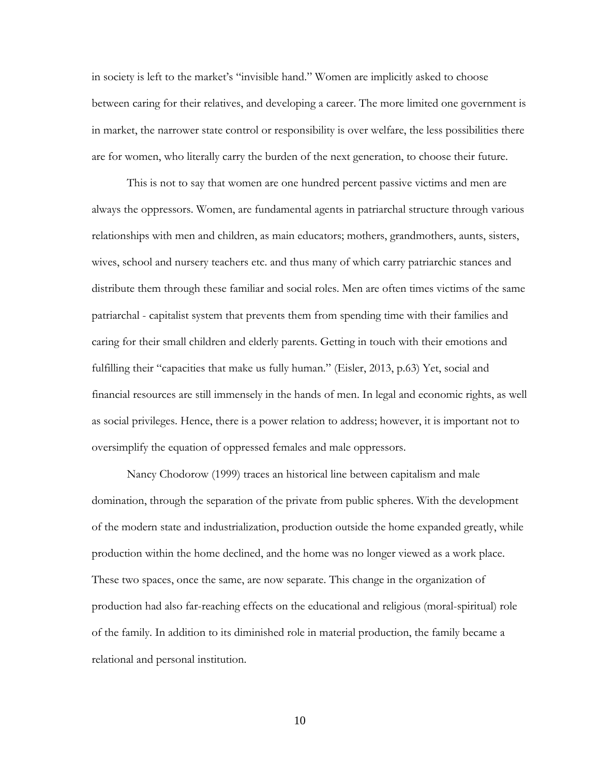in society is left to the market's "invisible hand." Women are implicitly asked to choose between caring for their relatives, and developing a career. The more limited one government is in market, the narrower state control or responsibility is over welfare, the less possibilities there are for women, who literally carry the burden of the next generation, to choose their future.

This is not to say that women are one hundred percent passive victims and men are always the oppressors. Women, are fundamental agents in patriarchal structure through various relationships with men and children, as main educators; mothers, grandmothers, aunts, sisters, wives, school and nursery teachers etc. and thus many of which carry patriarchic stances and distribute them through these familiar and social roles. Men are often times victims of the same patriarchal - capitalist system that prevents them from spending time with their families and caring for their small children and elderly parents. Getting in touch with their emotions and fulfilling their "capacities that make us fully human." (Eisler, 2013, p.63) Yet, social and financial resources are still immensely in the hands of men. In legal and economic rights, as well as social privileges. Hence, there is a power relation to address; however, it is important not to oversimplify the equation of oppressed females and male oppressors.

Nancy Chodorow (1999) traces an historical line between capitalism and male domination, through the separation of the private from public spheres. With the development of the modern state and industrialization, production outside the home expanded greatly, while production within the home declined, and the home was no longer viewed as a work place. These two spaces, once the same, are now separate. This change in the organization of production had also far-reaching effects on the educational and religious (moral-spiritual) role of the family. In addition to its diminished role in material production, the family became a relational and personal institution.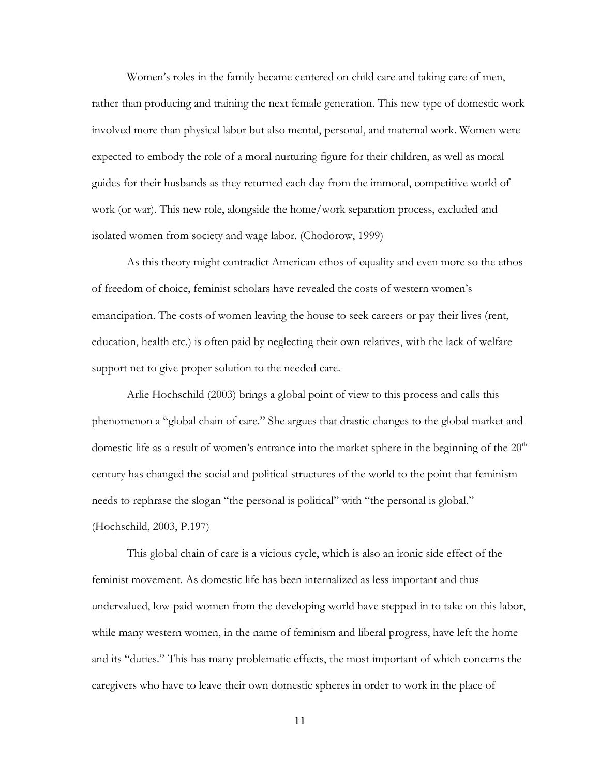Women's roles in the family became centered on child care and taking care of men, rather than producing and training the next female generation. This new type of domestic work involved more than physical labor but also mental, personal, and maternal work. Women were expected to embody the role of a moral nurturing figure for their children, as well as moral guides for their husbands as they returned each day from the immoral, competitive world of work (or war). This new role, alongside the home/work separation process, excluded and isolated women from society and wage labor. (Chodorow, 1999)

As this theory might contradict American ethos of equality and even more so the ethos of freedom of choice, feminist scholars have revealed the costs of western women's emancipation. The costs of women leaving the house to seek careers or pay their lives (rent, education, health etc.) is often paid by neglecting their own relatives, with the lack of welfare support net to give proper solution to the needed care.

Arlie Hochschild (2003) brings a global point of view to this process and calls this phenomenon a "global chain of care." She argues that drastic changes to the global market and domestic life as a result of women's entrance into the market sphere in the beginning of the  $20<sup>th</sup>$ century has changed the social and political structures of the world to the point that feminism needs to rephrase the slogan "the personal is political" with "the personal is global." (Hochschild, 2003, P.197)

This global chain of care is a vicious cycle, which is also an ironic side effect of the feminist movement. As domestic life has been internalized as less important and thus undervalued, low-paid women from the developing world have stepped in to take on this labor, while many western women, in the name of feminism and liberal progress, have left the home and its "duties." This has many problematic effects, the most important of which concerns the caregivers who have to leave their own domestic spheres in order to work in the place of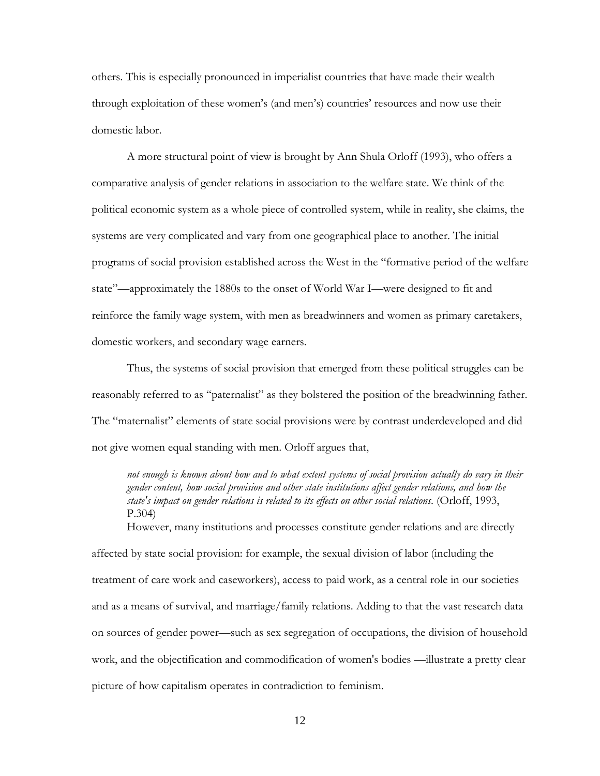others. This is especially pronounced in imperialist countries that have made their wealth through exploitation of these women's (and men's) countries' resources and now use their domestic labor.

A more structural point of view is brought by Ann Shula Orloff (1993), who offers a comparative analysis of gender relations in association to the welfare state. We think of the political economic system as a whole piece of controlled system, while in reality, she claims, the systems are very complicated and vary from one geographical place to another. The initial programs of social provision established across the West in the "formative period of the welfare state"—approximately the 1880s to the onset of World War I—were designed to fit and reinforce the family wage system, with men as breadwinners and women as primary caretakers, domestic workers, and secondary wage earners.

Thus, the systems of social provision that emerged from these political struggles can be reasonably referred to as "paternalist" as they bolstered the position of the breadwinning father. The "maternalist" elements of state social provisions were by contrast underdeveloped and did not give women equal standing with men. Orloff argues that,

*not enough is known about how and to what extent systems of social provision actually do vary in their gender content, how social provision and other state institutions affect gender relations, and how the state's impact on gender relations is related to its effects on other social relations*. (Orloff, 1993, P.304)

However, many institutions and processes constitute gender relations and are directly

affected by state social provision: for example, the sexual division of labor (including the treatment of care work and caseworkers), access to paid work, as a central role in our societies and as a means of survival, and marriage/family relations. Adding to that the vast research data on sources of gender power—such as sex segregation of occupations, the division of household work, and the objectification and commodification of women's bodies —illustrate a pretty clear picture of how capitalism operates in contradiction to feminism.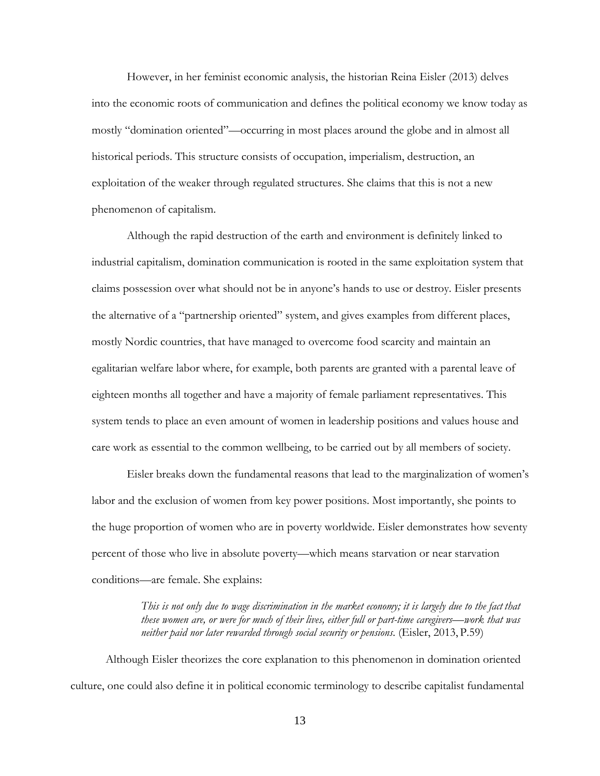However, in her feminist economic analysis, the historian Reina Eisler (2013) delves into the economic roots of communication and defines the political economy we know today as mostly "domination oriented"—occurring in most places around the globe and in almost all historical periods. This structure consists of occupation, imperialism, destruction, an exploitation of the weaker through regulated structures. She claims that this is not a new phenomenon of capitalism.

Although the rapid destruction of the earth and environment is definitely linked to industrial capitalism, domination communication is rooted in the same exploitation system that claims possession over what should not be in anyone's hands to use or destroy. Eisler presents the alternative of a "partnership oriented" system, and gives examples from different places, mostly Nordic countries, that have managed to overcome food scarcity and maintain an egalitarian welfare labor where, for example, both parents are granted with a parental leave of eighteen months all together and have a majority of female parliament representatives. This system tends to place an even amount of women in leadership positions and values house and care work as essential to the common wellbeing, to be carried out by all members of society.

Eisler breaks down the fundamental reasons that lead to the marginalization of women's labor and the exclusion of women from key power positions. Most importantly, she points to the huge proportion of women who are in poverty worldwide. Eisler demonstrates how seventy percent of those who live in absolute poverty—which means starvation or near starvation conditions—are female. She explains:

> *This is not only due to wage discrimination in the market economy; it is largely due to the fact that these women are, or were for much of their lives, either full or part-time caregivers—work that was neither paid nor later rewarded through social security or pensions*. (Eisler, 2013, P.59)

Although Eisler theorizes the core explanation to this phenomenon in domination oriented culture, one could also define it in political economic terminology to describe capitalist fundamental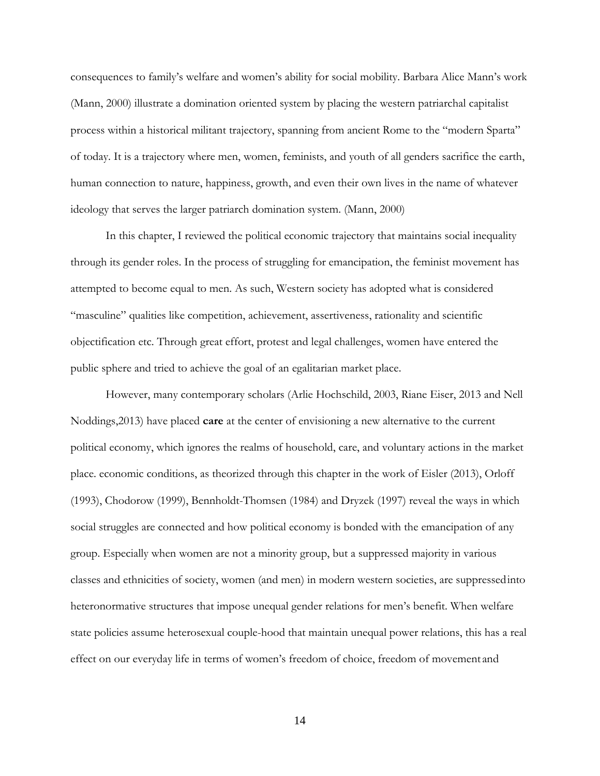consequences to family's welfare and women's ability for social mobility. Barbara Alice Mann's work (Mann, 2000) illustrate a domination oriented system by placing the western patriarchal capitalist process within a historical militant trajectory, spanning from ancient Rome to the "modern Sparta" of today. It is a trajectory where men, women, feminists, and youth of all genders sacrifice the earth, human connection to nature, happiness, growth, and even their own lives in the name of whatever ideology that serves the larger patriarch domination system. (Mann, 2000)

In this chapter, I reviewed the political economic trajectory that maintains social inequality through its gender roles. In the process of struggling for emancipation, the feminist movement has attempted to become equal to men. As such, Western society has adopted what is considered "masculine" qualities like competition, achievement, assertiveness, rationality and scientific objectification etc. Through great effort, protest and legal challenges, women have entered the public sphere and tried to achieve the goal of an egalitarian market place.

However, many contemporary scholars (Arlie Hochschild, 2003, Riane Eiser, 2013 and Nell Noddings,2013) have placed **care** at the center of envisioning a new alternative to the current political economy, which ignores the realms of household, care, and voluntary actions in the market place. economic conditions, as theorized through this chapter in the work of Eisler (2013), Orloff (1993), Chodorow (1999), Bennholdt-Thomsen (1984) and Dryzek (1997) reveal the ways in which social struggles are connected and how political economy is bonded with the emancipation of any group. Especially when women are not a minority group, but a suppressed majority in various classes and ethnicities of society, women (and men) in modern western societies, are suppressedinto heteronormative structures that impose unequal gender relations for men's benefit. When welfare state policies assume heterosexual couple-hood that maintain unequal power relations, this has a real effect on our everyday life in terms of women's freedom of choice, freedom of movement and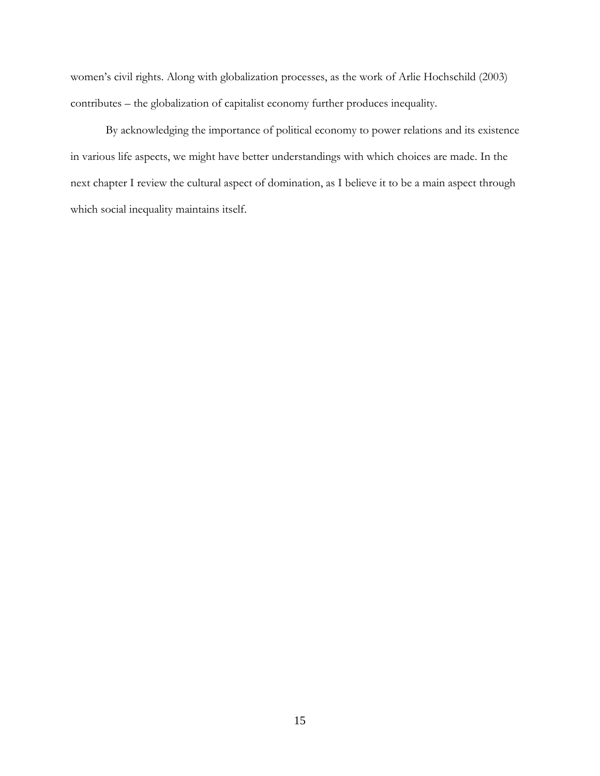women's civil rights. Along with globalization processes, as the work of Arlie Hochschild (2003) contributes – the globalization of capitalist economy further produces inequality.

By acknowledging the importance of political economy to power relations and its existence in various life aspects, we might have better understandings with which choices are made. In the next chapter I review the cultural aspect of domination, as I believe it to be a main aspect through which social inequality maintains itself.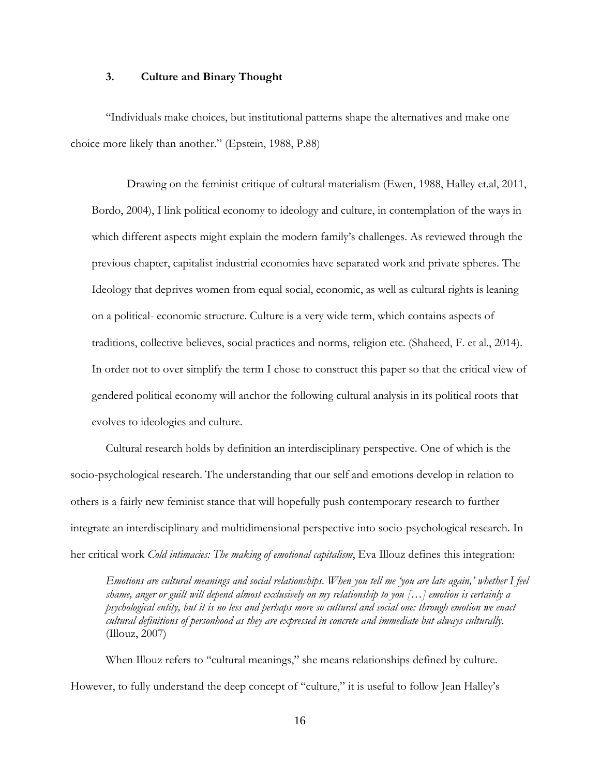#### **3. Culture and Binary Thought**

"Individuals make choices, but institutional patterns shape the alternatives and make one choice more likely than another." (Epstein, 1988, P.88)

Drawing on the feminist critique of cultural materialism (Ewen, 1988, Halley et.al, 2011, Bordo, 2004), I link political economy to ideology and culture, in contemplation of the ways in which different aspects might explain the modern family's challenges. As reviewed through the previous chapter, capitalist industrial economies have separated work and private spheres. The Ideology that deprives women from equal social, economic, as well as cultural rights is leaning on a political- economic structure. Culture is a very wide term, which contains aspects of traditions, collective believes, social practices and norms, religion etc. (Shaheed, F. et al., 2014). In order not to over simplify the term I chose to construct this paper so that the critical view of gendered political economy will anchor the following cultural analysis in its political roots that evolves to ideologies and culture.

Cultural research holds by definition an interdisciplinary perspective. One of which is the socio-psychological research. The understanding that our self and emotions develop in relation to others is a fairly new feminist stance that will hopefully push contemporary research to further integrate an interdisciplinary and multidimensional perspective into socio-psychological research. In her critical work *Cold intimacies: The making of emotional capitalism*, Eva Illouz defines this integration:

*Emotions are cultural meanings and social relationships. When you tell me 'you are late again,' whether I feel shame, anger or guilt will depend almost exclusively on my relationship to you […] emotion is certainly a psychological entity, but it is no less and perhaps more so cultural and social one: through emotion we enact cultural definitions of personhood as they are expressed in concrete and immediate but always culturally*. (Illouz, 2007)

When Illouz refers to "cultural meanings," she means relationships defined by culture. However, to fully understand the deep concept of "culture," it is useful to follow Jean Halley's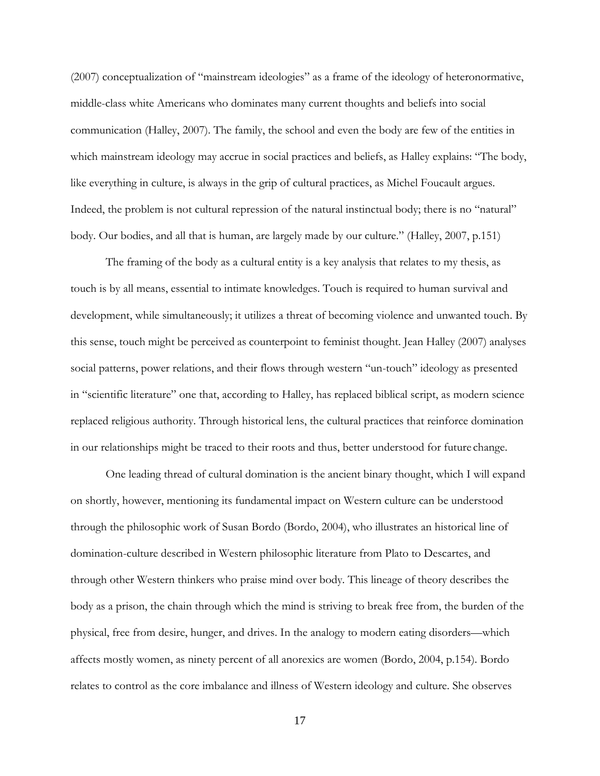(2007) conceptualization of "mainstream ideologies" as a frame of the ideology of heteronormative, middle-class white Americans who dominates many current thoughts and beliefs into social communication (Halley, 2007). The family, the school and even the body are few of the entities in which mainstream ideology may accrue in social practices and beliefs, as Halley explains: "The body, like everything in culture, is always in the grip of cultural practices, as Michel Foucault argues. Indeed, the problem is not cultural repression of the natural instinctual body; there is no "natural" body. Our bodies, and all that is human, are largely made by our culture." (Halley, 2007, p.151)

The framing of the body as a cultural entity is a key analysis that relates to my thesis, as touch is by all means, essential to intimate knowledges. Touch is required to human survival and development, while simultaneously; it utilizes a threat of becoming violence and unwanted touch. By this sense, touch might be perceived as counterpoint to feminist thought. Jean Halley (2007) analyses social patterns, power relations, and their flows through western "un-touch" ideology as presented in "scientific literature" one that, according to Halley, has replaced biblical script, as modern science replaced religious authority. Through historical lens, the cultural practices that reinforce domination in our relationships might be traced to their roots and thus, better understood for future change.

One leading thread of cultural domination is the ancient binary thought, which I will expand on shortly, however, mentioning its fundamental impact on Western culture can be understood through the philosophic work of Susan Bordo (Bordo, 2004), who illustrates an historical line of domination-culture described in Western philosophic literature from Plato to Descartes, and through other Western thinkers who praise mind over body. This lineage of theory describes the body as a prison, the chain through which the mind is striving to break free from, the burden of the physical, free from desire, hunger, and drives. In the analogy to modern eating disorders—which affects mostly women, as ninety percent of all anorexics are women (Bordo, 2004, p.154). Bordo relates to control as the core imbalance and illness of Western ideology and culture. She observes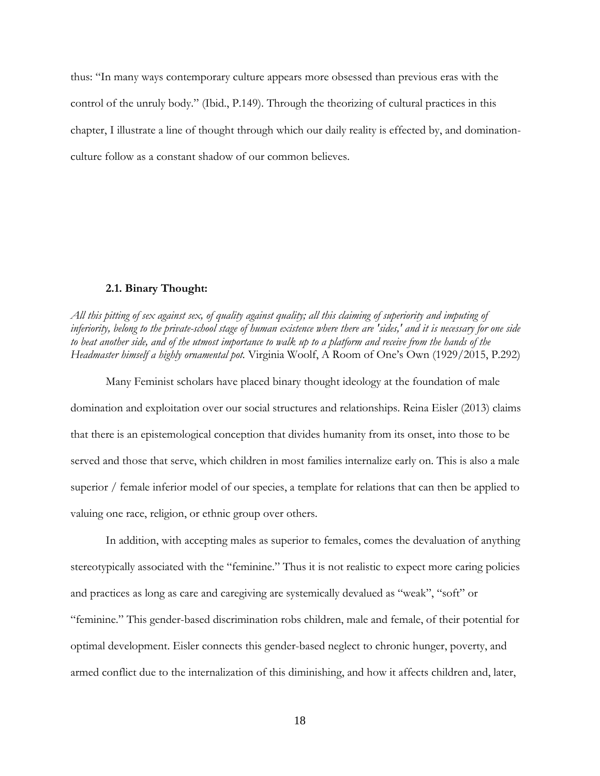thus: "In many ways contemporary culture appears more obsessed than previous eras with the control of the unruly body." (Ibid., P.149). Through the theorizing of cultural practices in this chapter, I illustrate a line of thought through which our daily reality is effected by, and dominationculture follow as a constant shadow of our common believes.

#### **2.1. Binary Thought:**

<span id="page-25-0"></span>*All this pitting of sex against sex, of quality against quality; all this claiming of superiority and imputing of inferiority, belong to the private-school stage of human existence where there are 'sides,' and it is necessary for one side to beat another side, and of the utmost importance to walk up to a platform and receive from the hands of the Headmaster himself a highly ornamental pot.* Virginia Woolf, A Room of One's Own (1929/2015, P.292)

Many Feminist scholars have placed binary thought ideology at the foundation of male domination and exploitation over our social structures and relationships. Reina Eisler (2013) claims that there is an epistemological conception that divides humanity from its onset, into those to be served and those that serve, which children in most families internalize early on. This is also a male superior / female inferior model of our species, a template for relations that can then be applied to valuing one race, religion, or ethnic group over others.

In addition, with accepting males as superior to females, comes the devaluation of anything stereotypically associated with the "feminine." Thus it is not realistic to expect more caring policies and practices as long as care and caregiving are systemically devalued as "weak", "soft" or "feminine." This gender-based discrimination robs children, male and female, of their potential for optimal development. Eisler connects this gender-based neglect to chronic hunger, poverty, and armed conflict due to the internalization of this diminishing, and how it affects children and, later,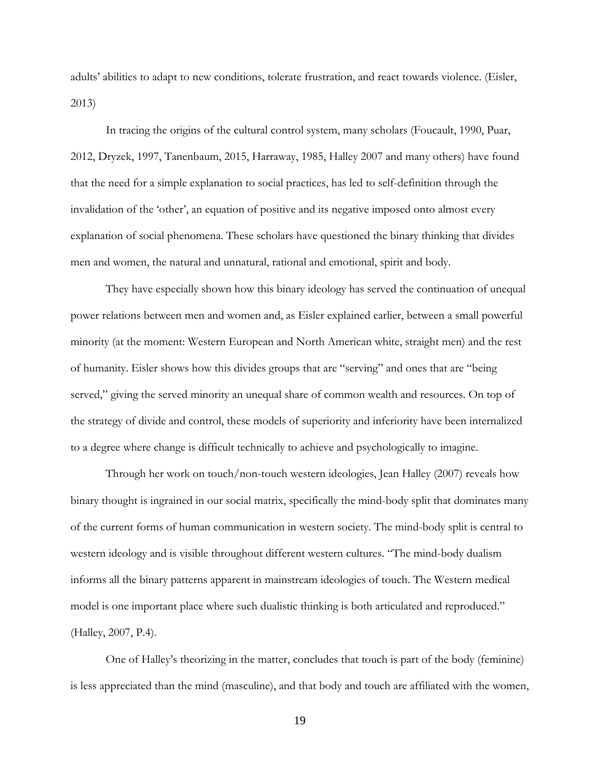adults' abilities to adapt to new conditions, tolerate frustration, and react towards violence. (Eisler, 2013)

In tracing the origins of the cultural control system, many scholars (Foucault, 1990, Puar, 2012, Dryzek, 1997, Tanenbaum, 2015, Harraway, 1985, Halley 2007 and many others) have found that the need for a simple explanation to social practices, has led to self-definition through the invalidation of the 'other', an equation of positive and its negative imposed onto almost every explanation of social phenomena. These scholars have questioned the binary thinking that divides men and women, the natural and unnatural, rational and emotional, spirit and body.

They have especially shown how this binary ideology has served the continuation of unequal power relations between men and women and, as Eisler explained earlier, between a small powerful minority (at the moment: Western European and North American white, straight men) and the rest of humanity. Eisler shows how this divides groups that are "serving" and ones that are "being served," giving the served minority an unequal share of common wealth and resources. On top of the strategy of divide and control, these models of superiority and inferiority have been internalized to a degree where change is difficult technically to achieve and psychologically to imagine.

Through her work on touch/non-touch western ideologies, Jean Halley (2007) reveals how binary thought is ingrained in our social matrix, specifically the mind-body split that dominates many of the current forms of human communication in western society. The mind-body split is central to western ideology and is visible throughout different western cultures. "The mind-body dualism informs all the binary patterns apparent in mainstream ideologies of touch. The Western medical model is one important place where such dualistic thinking is both articulated and reproduced." (Halley, 2007, P.4).

One of Halley's theorizing in the matter, concludes that touch is part of the body (feminine) is less appreciated than the mind (masculine), and that body and touch are affiliated with the women,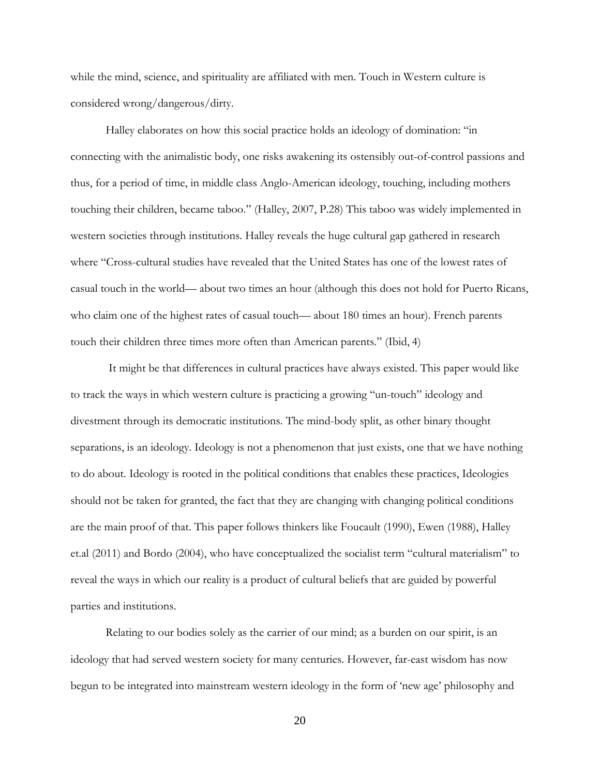while the mind, science, and spirituality are affiliated with men. Touch in Western culture is considered wrong/dangerous/dirty.

Halley elaborates on how this social practice holds an ideology of domination: "in connecting with the animalistic body, one risks awakening its ostensibly out-of-control passions and thus, for a period of time, in middle class Anglo-American ideology, touching, including mothers touching their children, became taboo." (Halley, 2007, P.28) This taboo was widely implemented in western societies through institutions. Halley reveals the huge cultural gap gathered in research where "Cross-cultural studies have revealed that the United States has one of the lowest rates of casual touch in the world— about two times an hour (although this does not hold for Puerto Ricans, who claim one of the highest rates of casual touch— about 180 times an hour). French parents touch their children three times more often than American parents." (Ibid, 4)

It might be that differences in cultural practices have always existed. This paper would like to track the ways in which western culture is practicing a growing "un-touch" ideology and divestment through its democratic institutions. The mind-body split, as other binary thought separations, is an ideology. Ideology is not a phenomenon that just exists, one that we have nothing to do about. Ideology is rooted in the political conditions that enables these practices, Ideologies should not be taken for granted, the fact that they are changing with changing political conditions are the main proof of that. This paper follows thinkers like Foucault (1990), Ewen (1988), Halley et.al (2011) and Bordo (2004), who have conceptualized the socialist term "cultural materialism" to reveal the ways in which our reality is a product of cultural beliefs that are guided by powerful parties and institutions.

Relating to our bodies solely as the carrier of our mind; as a burden on our spirit, is an ideology that had served western society for many centuries. However, far-east wisdom has now begun to be integrated into mainstream western ideology in the form of 'new age' philosophy and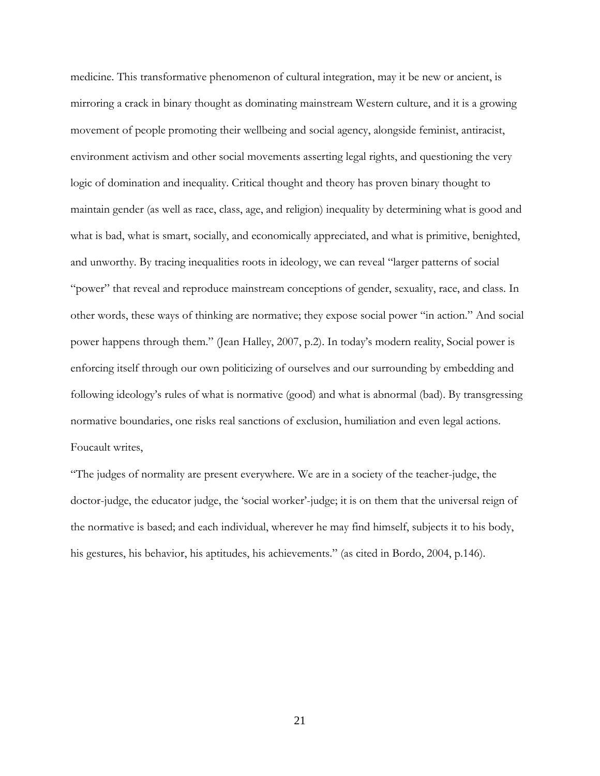medicine. This transformative phenomenon of cultural integration, may it be new or ancient, is mirroring a crack in binary thought as dominating mainstream Western culture, and it is a growing movement of people promoting their wellbeing and social agency, alongside feminist, antiracist, environment activism and other social movements asserting legal rights, and questioning the very logic of domination and inequality. Critical thought and theory has proven binary thought to maintain gender (as well as race, class, age, and religion) inequality by determining what is good and what is bad, what is smart, socially, and economically appreciated, and what is primitive, benighted, and unworthy. By tracing inequalities roots in ideology, we can reveal "larger patterns of social "power" that reveal and reproduce mainstream conceptions of gender, sexuality, race, and class. In other words, these ways of thinking are normative; they expose social power "in action." And social power happens through them." (Jean Halley, 2007, p.2). In today's modern reality, Social power is enforcing itself through our own politicizing of ourselves and our surrounding by embedding and following ideology's rules of what is normative (good) and what is abnormal (bad). By transgressing normative boundaries, one risks real sanctions of exclusion, humiliation and even legal actions. Foucault writes,

"The judges of normality are present everywhere. We are in a society of the teacher-judge, the doctor-judge, the educator judge, the 'social worker'-judge; it is on them that the universal reign of the normative is based; and each individual, wherever he may find himself, subjects it to his body, his gestures, his behavior, his aptitudes, his achievements." (as cited in Bordo, 2004, p.146).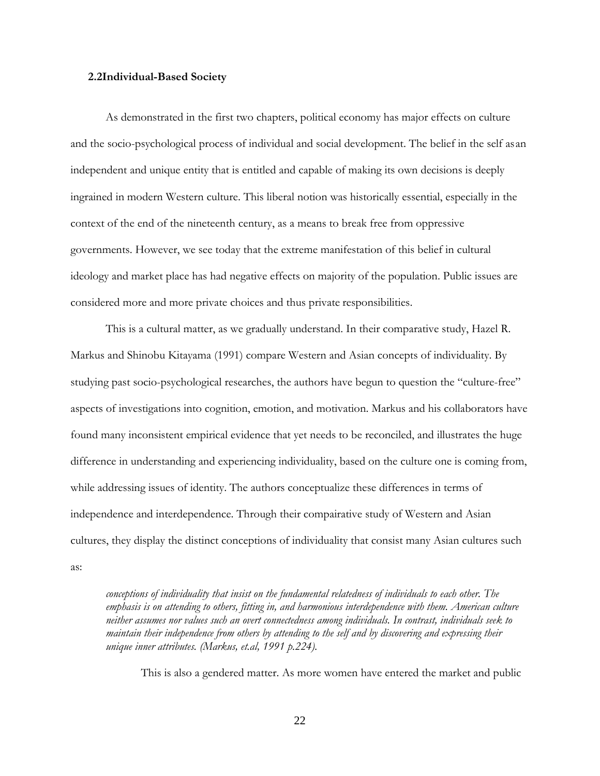#### <span id="page-29-0"></span>**2.2Individual-Based Society**

As demonstrated in the first two chapters, political economy has major effects on culture and the socio-psychological process of individual and social development. The belief in the self asan independent and unique entity that is entitled and capable of making its own decisions is deeply ingrained in modern Western culture. This liberal notion was historically essential, especially in the context of the end of the nineteenth century, as a means to break free from oppressive governments. However, we see today that the extreme manifestation of this belief in cultural ideology and market place has had negative effects on majority of the population. Public issues are considered more and more private choices and thus private responsibilities.

This is a cultural matter, as we gradually understand. In their comparative study, Hazel R. Markus and Shinobu Kitayama (1991) compare Western and Asian concepts of individuality. By studying past socio-psychological researches, the authors have begun to question the "culture-free" aspects of investigations into cognition, emotion, and motivation. Markus and his collaborators have found many inconsistent empirical evidence that yet needs to be reconciled, and illustrates the huge difference in understanding and experiencing individuality, based on the culture one is coming from, while addressing issues of identity. The authors conceptualize these differences in terms of independence and interdependence. Through their compairative study of Western and Asian cultures, they display the distinct conceptions of individuality that consist many Asian cultures such as:

*conceptions of individuality that insist on the fundamental relatedness of individuals to each other. The emphasis is on attending to others, fitting in, and harmonious interdependence with them. American culture neither assumes nor values such an overt connectedness among individuals. In contrast, individuals seek to maintain their independence from others by attending to the self and by discovering and expressing their unique inner attributes. (Markus, et.al, 1991 p.224).*

This is also a gendered matter. As more women have entered the market and public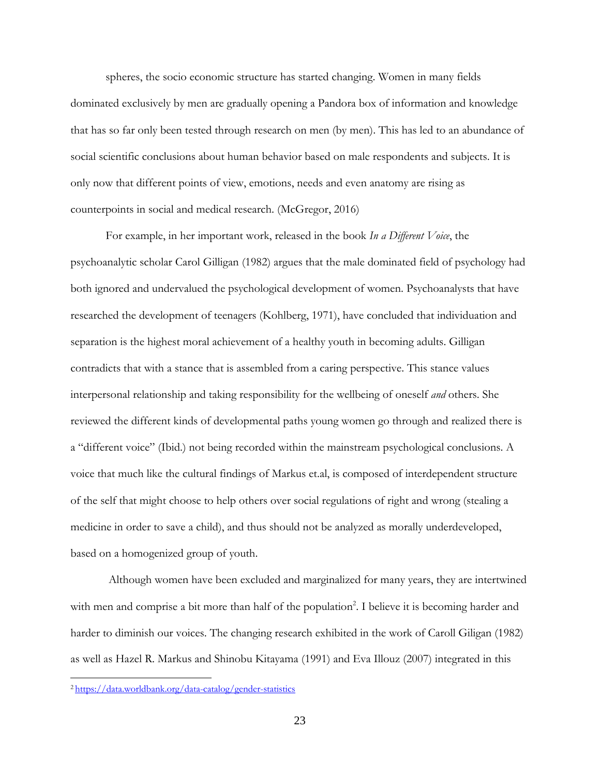spheres, the socio economic structure has started changing. Women in many fields dominated exclusively by men are gradually opening a Pandora box of information and knowledge that has so far only been tested through research on men (by men). This has led to an abundance of social scientific conclusions about human behavior based on male respondents and subjects. It is only now that different points of view, emotions, needs and even anatomy are rising as counterpoints in social and medical research. (McGregor, 2016)

For example, in her important work, released in the book *In a Different Voice*, the psychoanalytic scholar Carol Gilligan (1982) argues that the male dominated field of psychology had both ignored and undervalued the psychological development of women. Psychoanalysts that have researched the development of teenagers (Kohlberg, 1971), have concluded that individuation and separation is the highest moral achievement of a healthy youth in becoming adults. Gilligan contradicts that with a stance that is assembled from a caring perspective. This stance values interpersonal relationship and taking responsibility for the wellbeing of oneself *and* others. She reviewed the different kinds of developmental paths young women go through and realized there is a "different voice" (Ibid.) not being recorded within the mainstream psychological conclusions. A voice that much like the cultural findings of Markus et.al, is composed of interdependent structure of the self that might choose to help others over social regulations of right and wrong (stealing a medicine in order to save a child), and thus should not be analyzed as morally underdeveloped, based on a homogenized group of youth.

Although women have been excluded and marginalized for many years, they are intertwined with men and comprise a bit more than half of the population<sup>2</sup>. I believe it is becoming harder and harder to diminish our voices. The changing research exhibited in the work of Caroll Giligan (1982) as well as Hazel R. Markus and Shinobu Kitayama (1991) and Eva Illouz (2007) integrated in this

[<sup>2</sup> https://data.worldbank.org/data-catalog/gender-statistics](https://data.worldbank.org/data-catalog/gender-statistics)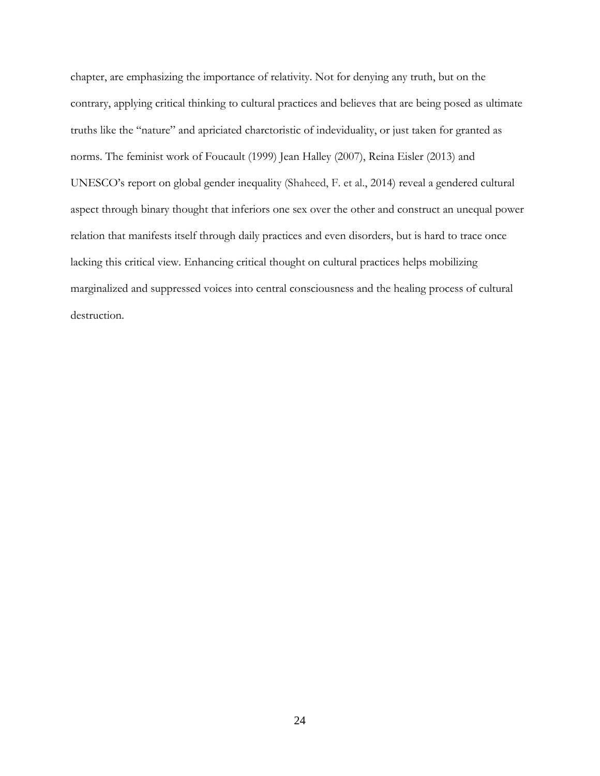chapter, are emphasizing the importance of relativity. Not for denying any truth, but on the contrary, applying critical thinking to cultural practices and believes that are being posed as ultimate truths like the "nature" and apriciated charctoristic of indeviduality, or just taken for granted as norms. The feminist work of Foucault (1999) Jean Halley (2007), Reina Eisler (2013) and UNESCO's report on global gender inequality (Shaheed, F. et al., 2014) reveal a gendered cultural aspect through binary thought that inferiors one sex over the other and construct an unequal power relation that manifests itself through daily practices and even disorders, but is hard to trace once lacking this critical view. Enhancing critical thought on cultural practices helps mobilizing marginalized and suppressed voices into central consciousness and the healing process of cultural destruction.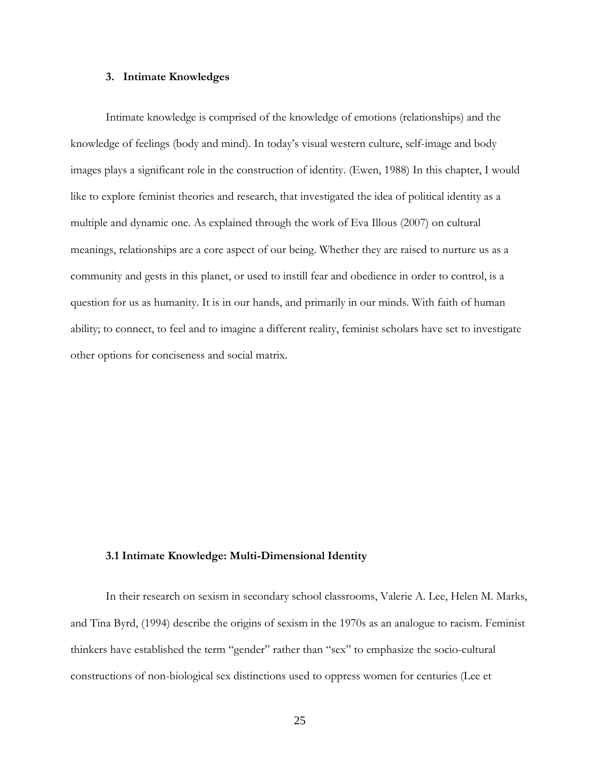#### **3. Intimate Knowledges**

<span id="page-32-0"></span>Intimate knowledge is comprised of the knowledge of emotions (relationships) and the knowledge of feelings (body and mind). In today's visual western culture, self-image and body images plays a significant role in the construction of identity. (Ewen, 1988) In this chapter, I would like to explore feminist theories and research, that investigated the idea of political identity as a multiple and dynamic one. As explained through the work of Eva Illous (2007) on cultural meanings, relationships are a core aspect of our being. Whether they are raised to nurture us as a community and gests in this planet, or used to instill fear and obedience in order to control, is a question for us as humanity. It is in our hands, and primarily in our minds. With faith of human ability; to connect, to feel and to imagine a different reality, feminist scholars have set to investigate other options for conciseness and social matrix.

#### **3.1 Intimate Knowledge: Multi-Dimensional Identity**

In their research on sexism in secondary school classrooms, Valerie A. Lee, Helen M. Marks, and Tina Byrd, (1994) describe the origins of sexism in the 1970s as an analogue to racism. Feminist thinkers have established the term "gender" rather than "sex" to emphasize the socio-cultural constructions of non-biological sex distinctions used to oppress women for centuries (Lee et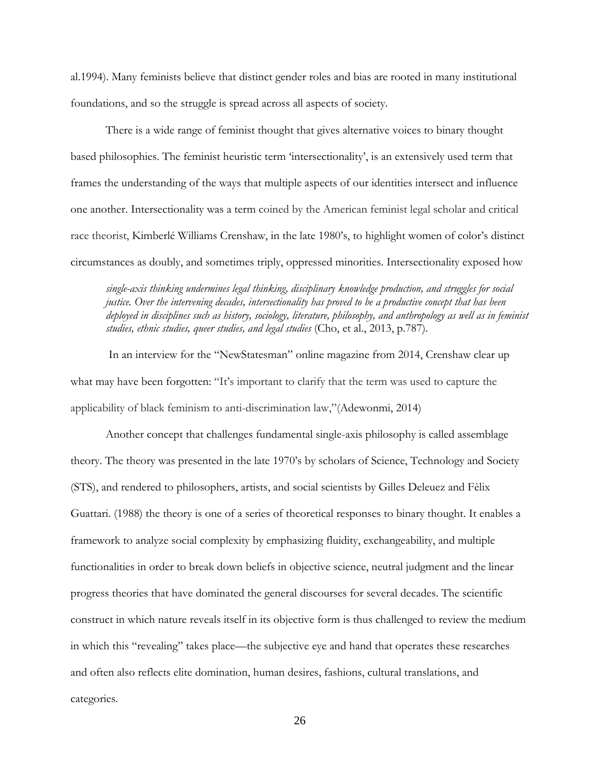al.1994). Many feminists believe that distinct gender roles and bias are rooted in many institutional foundations, and so the struggle is spread across all aspects of society.

There is a wide range of feminist thought that gives alternative voices to binary thought based philosophies. The feminist heuristic term 'intersectionality', is an extensively used term that frames the understanding of the ways that multiple aspects of our identities intersect and influence one another. Intersectionality was a term coined by the American feminist legal scholar and critical race theorist, Kimberlé Williams Crenshaw, in the late 1980's, to highlight women of color's distinct circumstances as doubly, and sometimes triply, oppressed minorities. Intersectionality exposed how

*single-axis thinking undermines legal thinking, disciplinary knowledge production, and struggles for social justice. Over the intervening decades, intersectionality has proved to be a productive concept that has been deployed in disciplines such as history, sociology, literature, philosophy, and anthropology as well as in feminist studies, ethnic studies, queer studies, and legal studies* (Cho, et al., 2013, p.787).

In an interview for the "NewStatesman" online magazine from 2014, Crenshaw clear up what may have been forgotten: "It's important to clarify that the term was used to capture the applicability of black feminism to anti-discrimination law,"(Adewonmi, 2014)

Another concept that challenges fundamental single-axis philosophy is called assemblage theory. The theory was presented in the late 1970's by scholars of Science, Technology and Society (STS), and rendered to philosophers, artists, and social scientists by Gilles Deleuez and Fèlix Guattari. (1988) the theory is one of a series of theoretical responses to binary thought. It enables a framework to analyze social complexity by emphasizing fluidity, exchangeability, and multiple functionalities in order to break down beliefs in objective science, neutral judgment and the linear progress theories that have dominated the general discourses for several decades. The scientific construct in which nature reveals itself in its objective form is thus challenged to review the medium in which this "revealing" takes place—the subjective eye and hand that operates these researches and often also reflects elite domination, human desires, fashions, cultural translations, and categories.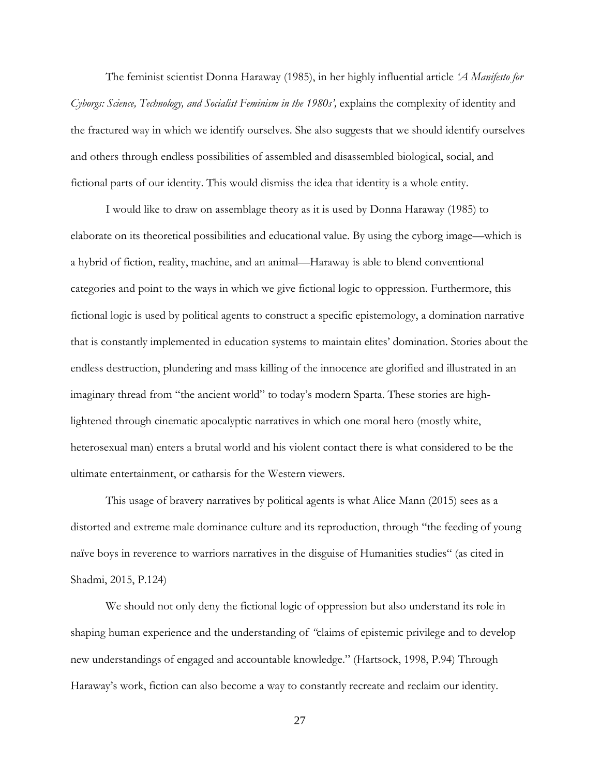The feminist scientist Donna Haraway (1985), in her highly influential article *'A Manifesto for Cyborgs: Science, Technology, and Socialist Feminism in the 1980s',* explains the complexity of identity and the fractured way in which we identify ourselves. She also suggests that we should identify ourselves and others through endless possibilities of assembled and disassembled biological, social, and fictional parts of our identity. This would dismiss the idea that identity is a whole entity.

I would like to draw on assemblage theory as it is used by Donna Haraway (1985) to elaborate on its theoretical possibilities and educational value. By using the cyborg image—which is a hybrid of fiction, reality, machine, and an animal—Haraway is able to blend conventional categories and point to the ways in which we give fictional logic to oppression. Furthermore, this fictional logic is used by political agents to construct a specific epistemology, a domination narrative that is constantly implemented in education systems to maintain elites' domination. Stories about the endless destruction, plundering and mass killing of the innocence are glorified and illustrated in an imaginary thread from "the ancient world" to today's modern Sparta. These stories are highlightened through cinematic apocalyptic narratives in which one moral hero (mostly white, heterosexual man) enters a brutal world and his violent contact there is what considered to be the ultimate entertainment, or catharsis for the Western viewers.

This usage of bravery narratives by political agents is what Alice Mann (2015) sees as a distorted and extreme male dominance culture and its reproduction, through "the feeding of young naïve boys in reverence to warriors narratives in the disguise of Humanities studies" (as cited in Shadmi, 2015, P.124)

We should not only deny the fictional logic of oppression but also understand its role in shaping human experience and the understanding of *"*claims of epistemic privilege and to develop new understandings of engaged and accountable knowledge." (Hartsock, 1998, P.94) Through Haraway's work, fiction can also become a way to constantly recreate and reclaim our identity.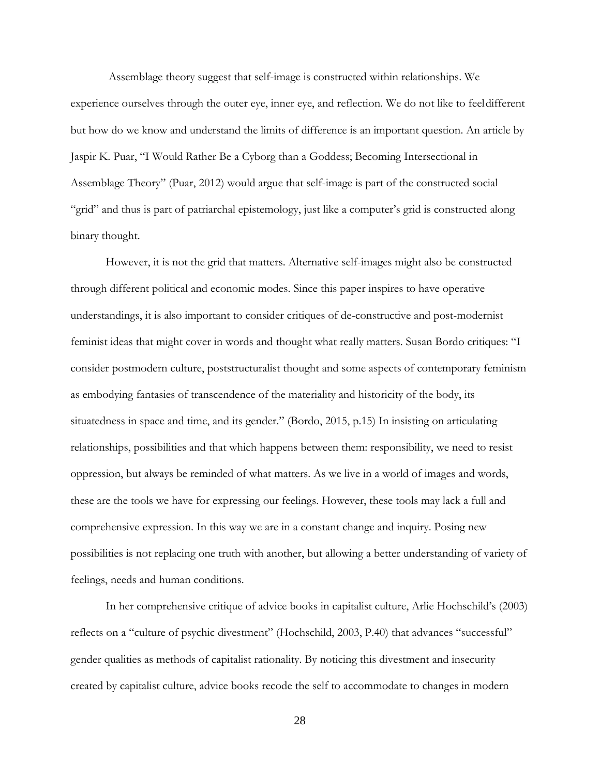Assemblage theory suggest that self-image is constructed within relationships. We experience ourselves through the outer eye, inner eye, and reflection. We do not like to feeldifferent but how do we know and understand the limits of difference is an important question. An article by Jaspir K. Puar, "I Would Rather Be a Cyborg than a Goddess; Becoming Intersectional in Assemblage Theory" (Puar, 2012) would argue that self-image is part of the constructed social "grid" and thus is part of patriarchal epistemology, just like a computer's grid is constructed along binary thought.

However, it is not the grid that matters. Alternative self-images might also be constructed through different political and economic modes. Since this paper inspires to have operative understandings, it is also important to consider critiques of de-constructive and post-modernist feminist ideas that might cover in words and thought what really matters. Susan Bordo critiques: "I consider postmodern culture, poststructuralist thought and some aspects of contemporary feminism as embodying fantasies of transcendence of the materiality and historicity of the body, its situatedness in space and time, and its gender." (Bordo, 2015, p.15) In insisting on articulating relationships, possibilities and that which happens between them: responsibility, we need to resist oppression, but always be reminded of what matters. As we live in a world of images and words, these are the tools we have for expressing our feelings. However, these tools may lack a full and comprehensive expression. In this way we are in a constant change and inquiry. Posing new possibilities is not replacing one truth with another, but allowing a better understanding of variety of feelings, needs and human conditions.

In her comprehensive critique of advice books in capitalist culture, Arlie Hochschild's (2003) reflects on a "culture of psychic divestment" (Hochschild, 2003, P.40) that advances "successful" gender qualities as methods of capitalist rationality. By noticing this divestment and insecurity created by capitalist culture, advice books recode the self to accommodate to changes in modern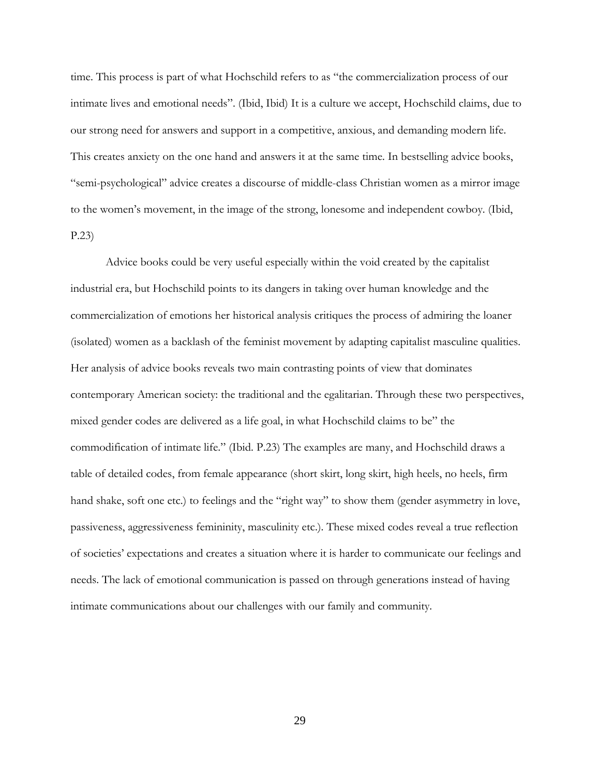time. This process is part of what Hochschild refers to as "the commercialization process of our intimate lives and emotional needs". (Ibid, Ibid) It is a culture we accept, Hochschild claims, due to our strong need for answers and support in a competitive, anxious, and demanding modern life. This creates anxiety on the one hand and answers it at the same time. In bestselling advice books, "semi-psychological" advice creates a discourse of middle-class Christian women as a mirror image to the women's movement, in the image of the strong, lonesome and independent cowboy. (Ibid, P.23)

Advice books could be very useful especially within the void created by the capitalist industrial era, but Hochschild points to its dangers in taking over human knowledge and the commercialization of emotions her historical analysis critiques the process of admiring the loaner (isolated) women as a backlash of the feminist movement by adapting capitalist masculine qualities. Her analysis of advice books reveals two main contrasting points of view that dominates contemporary American society: the traditional and the egalitarian. Through these two perspectives, mixed gender codes are delivered as a life goal, in what Hochschild claims to be" the commodification of intimate life." (Ibid. P.23) The examples are many, and Hochschild draws a table of detailed codes, from female appearance (short skirt, long skirt, high heels, no heels, firm hand shake, soft one etc.) to feelings and the "right way" to show them (gender asymmetry in love, passiveness, aggressiveness femininity, masculinity etc.). These mixed codes reveal a true reflection of societies' expectations and creates a situation where it is harder to communicate our feelings and needs. The lack of emotional communication is passed on through generations instead of having intimate communications about our challenges with our family and community.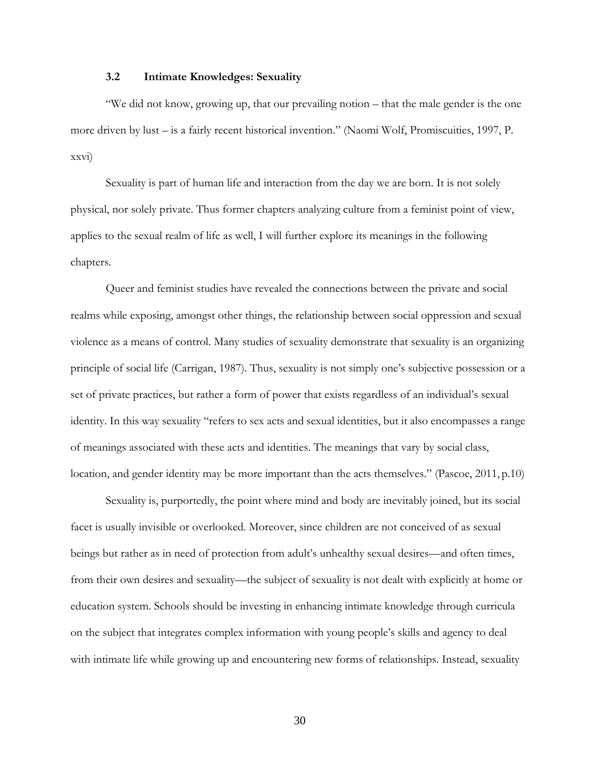#### **3.2 Intimate Knowledges: Sexuality**

<span id="page-37-0"></span>"We did not know, growing up, that our prevailing notion – that the male gender is the one more driven by lust – is a fairly recent historical invention." (Naomi Wolf, Promiscuities, 1997, P. xxvi)

Sexuality is part of human life and interaction from the day we are born. It is not solely physical, nor solely private. Thus former chapters analyzing culture from a feminist point of view, applies to the sexual realm of life as well, I will further explore its meanings in the following chapters.

Queer and feminist studies have revealed the connections between the private and social realms while exposing, amongst other things, the relationship between social oppression and sexual violence as a means of control. Many studies of sexuality demonstrate that sexuality is an organizing principle of social life (Carrigan, 1987). Thus, sexuality is not simply one's subjective possession or a set of private practices, but rather a form of power that exists regardless of an individual's sexual identity. In this way sexuality "refers to sex acts and sexual identities, but it also encompasses a range of meanings associated with these acts and identities. The meanings that vary by social class, location, and gender identity may be more important than the acts themselves." (Pascoe, 2011, p.10)

Sexuality is, purportedly, the point where mind and body are inevitably joined, but its social facet is usually invisible or overlooked. Moreover, since children are not conceived of as sexual beings but rather as in need of protection from adult's unhealthy sexual desires—and often times, from their own desires and sexuality—the subject of sexuality is not dealt with explicitly at home or education system. Schools should be investing in enhancing intimate knowledge through curricula on the subject that integrates complex information with young people's skills and agency to deal with intimate life while growing up and encountering new forms of relationships. Instead, sexuality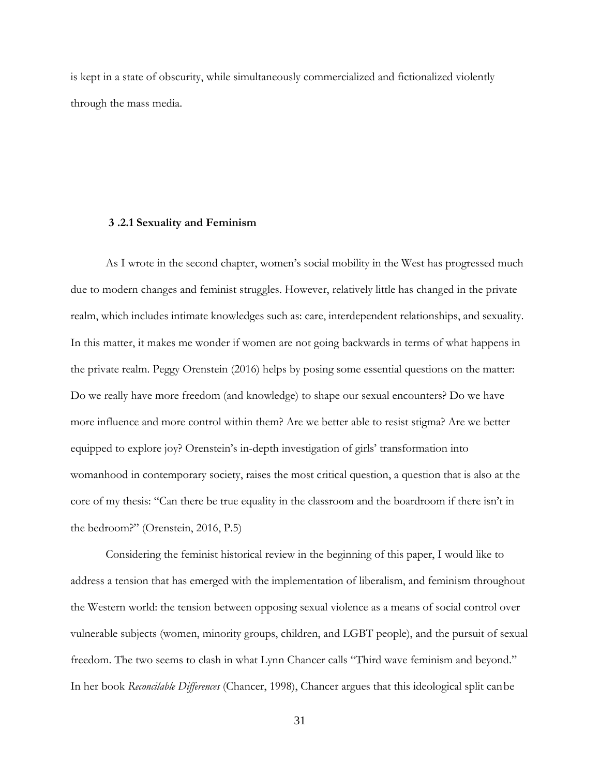is kept in a state of obscurity, while simultaneously commercialized and fictionalized violently through the mass media.

#### **3 .2.1 Sexuality and Feminism**

<span id="page-38-0"></span>As I wrote in the second chapter, women's social mobility in the West has progressed much due to modern changes and feminist struggles. However, relatively little has changed in the private realm, which includes intimate knowledges such as: care, interdependent relationships, and sexuality. In this matter, it makes me wonder if women are not going backwards in terms of what happens in the private realm. Peggy Orenstein (2016) helps by posing some essential questions on the matter: Do we really have more freedom (and knowledge) to shape our sexual encounters? Do we have more influence and more control within them? Are we better able to resist stigma? Are we better equipped to explore joy? Orenstein's in-depth investigation of girls' transformation into womanhood in contemporary society, raises the most critical question, a question that is also at the core of my thesis: "Can there be true equality in the classroom and the boardroom if there isn't in the bedroom?" (Orenstein, 2016, P.5)

Considering the feminist historical review in the beginning of this paper, I would like to address a tension that has emerged with the implementation of liberalism, and feminism throughout the Western world: the tension between opposing sexual violence as a means of social control over vulnerable subjects (women, minority groups, children, and LGBT people), and the pursuit of sexual freedom. The two seems to clash in what Lynn Chancer calls "Third wave feminism and beyond." In her book *Reconcilable Differences* (Chancer, 1998), Chancer argues that this ideological split canbe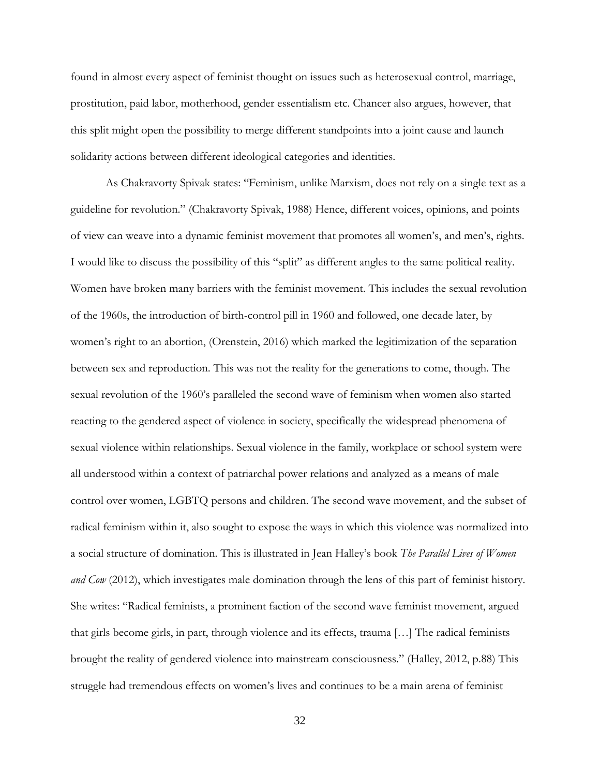found in almost every aspect of feminist thought on issues such as heterosexual control, marriage, prostitution, paid labor, motherhood, gender essentialism etc. Chancer also argues, however, that this split might open the possibility to merge different standpoints into a joint cause and launch solidarity actions between different ideological categories and identities.

As Chakravorty Spivak states: "Feminism, unlike Marxism, does not rely on a single text as a guideline for revolution." (Chakravorty Spivak, 1988) Hence, different voices, opinions, and points of view can weave into a dynamic feminist movement that promotes all women's, and men's, rights. I would like to discuss the possibility of this "split" as different angles to the same political reality. Women have broken many barriers with the feminist movement. This includes the sexual revolution of the 1960s, the introduction of birth-control pill in 1960 and followed, one decade later, by women's right to an abortion, (Orenstein, 2016) which marked the legitimization of the separation between sex and reproduction. This was not the reality for the generations to come, though. The sexual revolution of the 1960's paralleled the second wave of feminism when women also started reacting to the gendered aspect of violence in society, specifically the widespread phenomena of sexual violence within relationships. Sexual violence in the family, workplace or school system were all understood within a context of patriarchal power relations and analyzed as a means of male control over women, LGBTQ persons and children. The second wave movement, and the subset of radical feminism within it, also sought to expose the ways in which this violence was normalized into a social structure of domination. This is illustrated in Jean Halley's book *The Parallel Lives of Women and Cow* (2012), which investigates male domination through the lens of this part of feminist history. She writes: "Radical feminists, a prominent faction of the second wave feminist movement, argued that girls become girls, in part, through violence and its effects, trauma […] The radical feminists brought the reality of gendered violence into mainstream consciousness." (Halley, 2012, p.88) This struggle had tremendous effects on women's lives and continues to be a main arena of feminist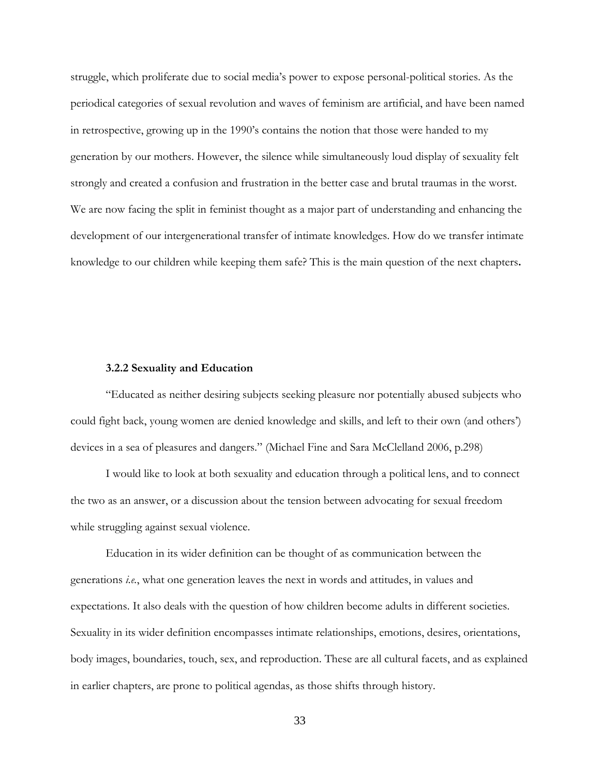struggle, which proliferate due to social media's power to expose personal-political stories. As the periodical categories of sexual revolution and waves of feminism are artificial, and have been named in retrospective, growing up in the 1990's contains the notion that those were handed to my generation by our mothers. However, the silence while simultaneously loud display of sexuality felt strongly and created a confusion and frustration in the better case and brutal traumas in the worst. We are now facing the split in feminist thought as a major part of understanding and enhancing the development of our intergenerational transfer of intimate knowledges. How do we transfer intimate knowledge to our children while keeping them safe? This is the main question of the next chapters**.**

#### **3.2.2 Sexuality and Education**

<span id="page-40-0"></span>"Educated as neither desiring subjects seeking pleasure nor potentially abused subjects who could fight back, young women are denied knowledge and skills, and left to their own (and others') devices in a sea of pleasures and dangers." (Michael Fine and Sara McClelland 2006, p.298)

I would like to look at both sexuality and education through a political lens, and to connect the two as an answer, or a discussion about the tension between advocating for sexual freedom while struggling against sexual violence.

Education in its wider definition can be thought of as communication between the generations *i.e.*, what one generation leaves the next in words and attitudes, in values and expectations. It also deals with the question of how children become adults in different societies. Sexuality in its wider definition encompasses intimate relationships, emotions, desires, orientations, body images, boundaries, touch, sex, and reproduction. These are all cultural facets, and as explained in earlier chapters, are prone to political agendas, as those shifts through history.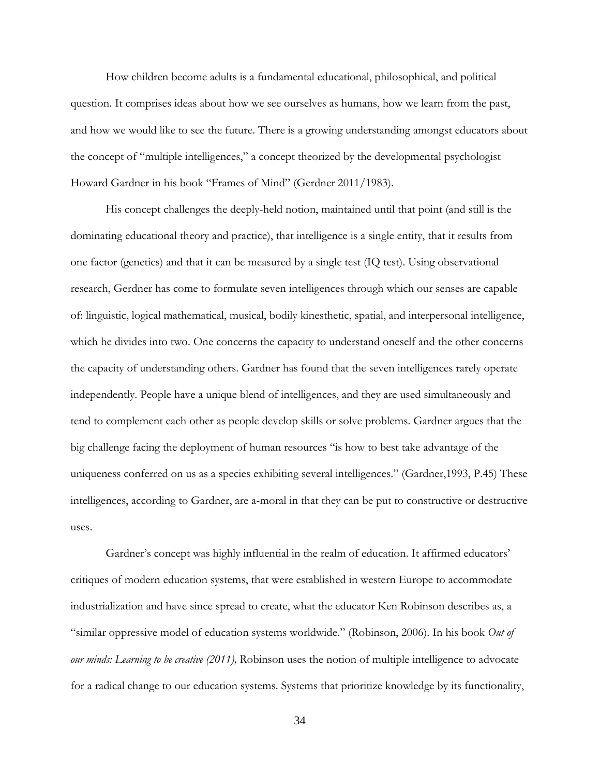How children become adults is a fundamental educational, philosophical, and political question. It comprises ideas about how we see ourselves as humans, how we learn from the past, and how we would like to see the future. There is a growing understanding amongst educators about the concept of "multiple intelligences," a concept theorized by the developmental psychologist Howard Gardner in his book "Frames of Mind" (Gerdner 2011/1983).

His concept challenges the deeply-held notion, maintained until that point (and still is the dominating educational theory and practice), that intelligence is a single entity, that it results from one factor (genetics) and that it can be measured by a single test (IQ test). Using observational research, Gerdner has come to formulate seven intelligences through which our senses are capable of: linguistic, logical mathematical, musical, bodily kinesthetic, spatial, and interpersonal intelligence, which he divides into two. One concerns the capacity to understand oneself and the other concerns the capacity of understanding others. Gardner has found that the seven intelligences rarely operate independently. People have a unique blend of intelligences, and they are used simultaneously and tend to complement each other as people develop skills or solve problems. Gardner argues that the big challenge facing the deployment of human resources "is how to best take advantage of the uniqueness conferred on us as a species exhibiting several intelligences." (Gardner,1993, P.45) These intelligences, according to Gardner, are a-moral in that they can be put to constructive or destructive uses.

Gardner's concept was highly influential in the realm of education. It affirmed educators' critiques of modern education systems, that were established in western Europe to accommodate industrialization and have since spread to create, what the educator Ken Robinson describes as, a "similar oppressive model of education systems worldwide." (Robinson, 2006). In his book *Out of our minds: Learning to be creative (2011),* Robinson uses the notion of multiple intelligence to advocate for a radical change to our education systems. Systems that prioritize knowledge by its functionality,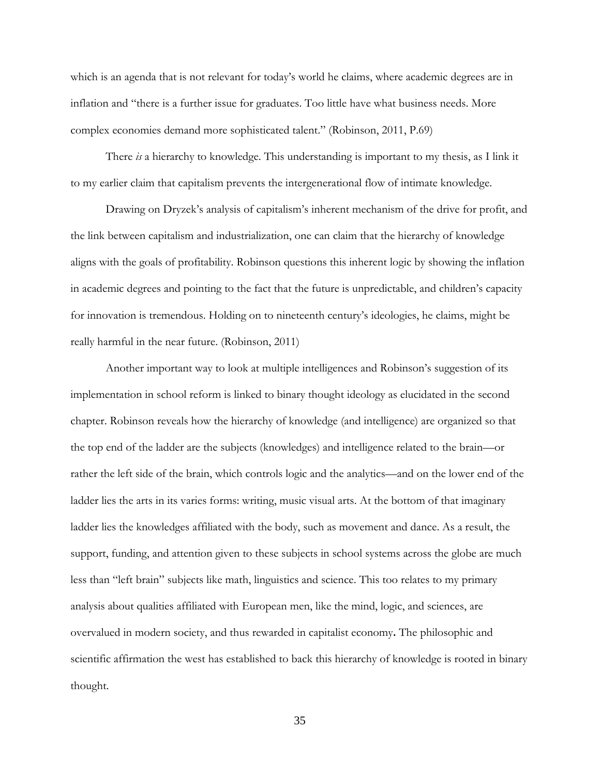which is an agenda that is not relevant for today's world he claims, where academic degrees are in inflation and "there is a further issue for graduates. Too little have what business needs. More complex economies demand more sophisticated talent." (Robinson, 2011, P.69)

There *is* a hierarchy to knowledge. This understanding is important to my thesis, as I link it to my earlier claim that capitalism prevents the intergenerational flow of intimate knowledge.

Drawing on Dryzek's analysis of capitalism's inherent mechanism of the drive for profit, and the link between capitalism and industrialization, one can claim that the hierarchy of knowledge aligns with the goals of profitability. Robinson questions this inherent logic by showing the inflation in academic degrees and pointing to the fact that the future is unpredictable, and children's capacity for innovation is tremendous. Holding on to nineteenth century's ideologies, he claims, might be really harmful in the near future. (Robinson, 2011)

Another important way to look at multiple intelligences and Robinson's suggestion of its implementation in school reform is linked to binary thought ideology as elucidated in the second chapter. Robinson reveals how the hierarchy of knowledge (and intelligence) are organized so that the top end of the ladder are the subjects (knowledges) and intelligence related to the brain—or rather the left side of the brain, which controls logic and the analytics—and on the lower end of the ladder lies the arts in its varies forms: writing, music visual arts. At the bottom of that imaginary ladder lies the knowledges affiliated with the body, such as movement and dance. As a result, the support, funding, and attention given to these subjects in school systems across the globe are much less than "left brain" subjects like math, linguistics and science. This too relates to my primary analysis about qualities affiliated with European men, like the mind, logic, and sciences, are overvalued in modern society, and thus rewarded in capitalist economy**.** The philosophic and scientific affirmation the west has established to back this hierarchy of knowledge is rooted in binary thought.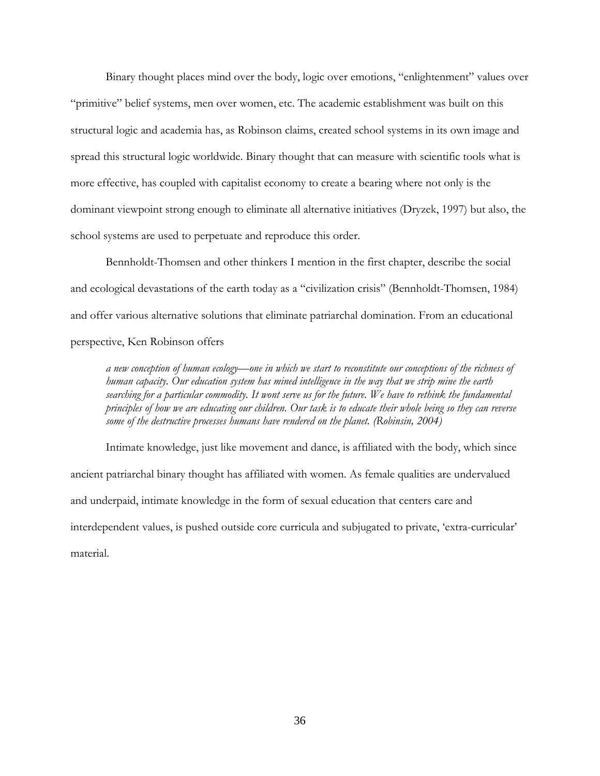Binary thought places mind over the body, logic over emotions, "enlightenment" values over "primitive" belief systems, men over women, etc. The academic establishment was built on this structural logic and academia has, as Robinson claims, created school systems in its own image and spread this structural logic worldwide. Binary thought that can measure with scientific tools what is more effective, has coupled with capitalist economy to create a bearing where not only is the dominant viewpoint strong enough to eliminate all alternative initiatives (Dryzek, 1997) but also, the school systems are used to perpetuate and reproduce this order.

Bennholdt-Thomsen and other thinkers I mention in the first chapter, describe the social and ecological devastations of the earth today as a "civilization crisis" (Bennholdt-Thomsen, 1984) and offer various alternative solutions that eliminate patriarchal domination. From an educational perspective, Ken Robinson offers

*a new conception of human ecology—one in which we start to reconstitute our conceptions of the richness of human capacity. Our education system has mined intelligence in the way that we strip mine the earth searching for a particular commodity. It wont serve us for the future. We have to rethink the fundamental principles of how we are educating our children. Our task is to educate their whole being so they can reverse some of the destructive processes humans have rendered on the planet. (Robinsin, 2004)*

Intimate knowledge, just like movement and dance, is affiliated with the body, which since ancient patriarchal binary thought has affiliated with women. As female qualities are undervalued and underpaid, intimate knowledge in the form of sexual education that centers care and interdependent values, is pushed outside core curricula and subjugated to private, 'extra-curricular' material.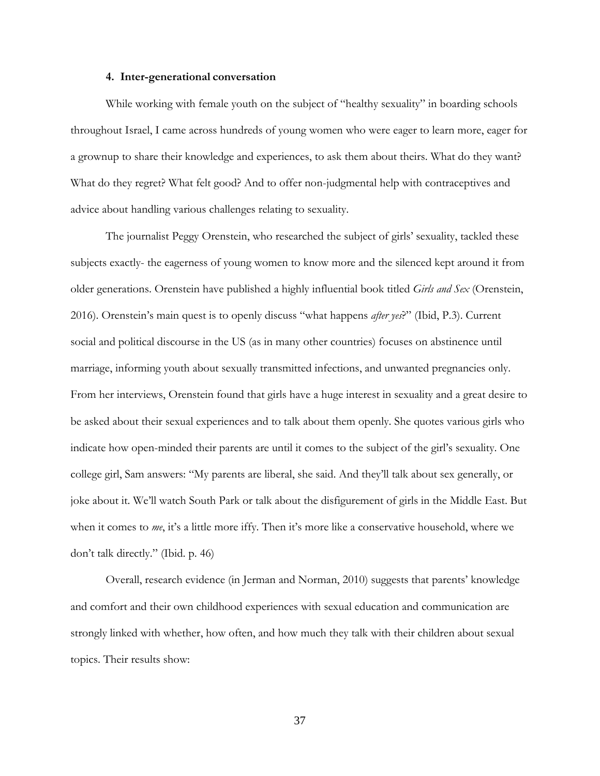#### **4. Inter-generational conversation**

<span id="page-44-0"></span>While working with female youth on the subject of "healthy sexuality" in boarding schools throughout Israel, I came across hundreds of young women who were eager to learn more, eager for a grownup to share their knowledge and experiences, to ask them about theirs. What do they want? What do they regret? What felt good? And to offer non-judgmental help with contraceptives and advice about handling various challenges relating to sexuality.

The journalist Peggy Orenstein, who researched the subject of girls' sexuality, tackled these subjects exactly- the eagerness of young women to know more and the silenced kept around it from older generations. Orenstein have published a highly influential book titled *Girls and Sex* (Orenstein, 2016). Orenstein's main quest is to openly discuss "what happens *after yes*?" (Ibid, P.3). Current social and political discourse in the US (as in many other countries) focuses on abstinence until marriage, informing youth about sexually transmitted infections, and unwanted pregnancies only. From her interviews, Orenstein found that girls have a huge interest in sexuality and a great desire to be asked about their sexual experiences and to talk about them openly. She quotes various girls who indicate how open-minded their parents are until it comes to the subject of the girl's sexuality. One college girl, Sam answers: "My parents are liberal, she said. And they'll talk about sex generally, or joke about it. We'll watch South Park or talk about the disfigurement of girls in the Middle East. But when it comes to *me*, it's a little more iffy. Then it's more like a conservative household, where we don't talk directly." (Ibid. p. 46)

Overall, research evidence (in Jerman and Norman, 2010) suggests that parents' knowledge and comfort and their own childhood experiences with sexual education and communication are strongly linked with whether, how often, and how much they talk with their children about sexual topics. Their results show: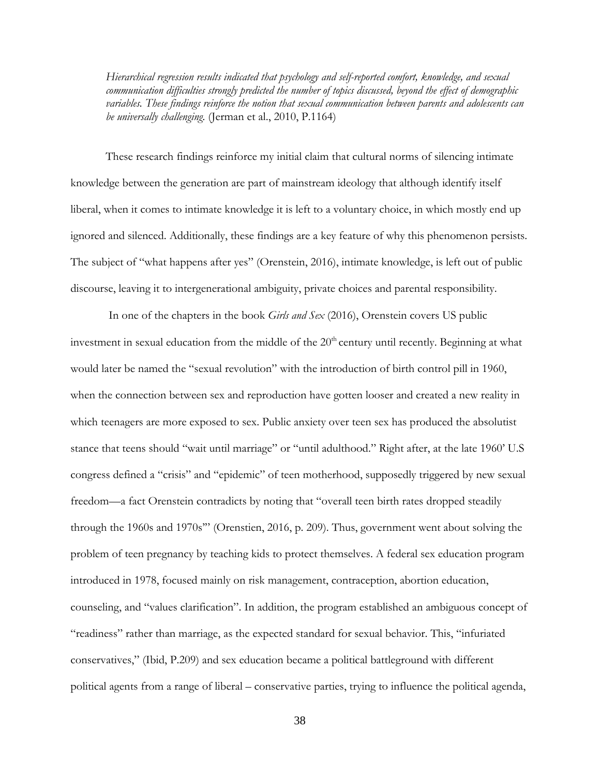*Hierarchical regression results indicated that psychology and self-reported comfort, knowledge, and sexual communication difficulties strongly predicted the number of topics discussed, beyond the effect of demographic variables. These findings reinforce the notion that sexual communication between parents and adolescents can be universally challenging.* (Jerman et al., 2010, P.1164)

These research findings reinforce my initial claim that cultural norms of silencing intimate knowledge between the generation are part of mainstream ideology that although identify itself liberal, when it comes to intimate knowledge it is left to a voluntary choice, in which mostly end up ignored and silenced. Additionally, these findings are a key feature of why this phenomenon persists. The subject of "what happens after yes" (Orenstein, 2016), intimate knowledge, is left out of public discourse, leaving it to intergenerational ambiguity, private choices and parental responsibility.

In one of the chapters in the book *Girls and Sex* (2016), Orenstein covers US public investment in sexual education from the middle of the 20<sup>th</sup> century until recently. Beginning at what would later be named the "sexual revolution" with the introduction of birth control pill in 1960, when the connection between sex and reproduction have gotten looser and created a new reality in which teenagers are more exposed to sex. Public anxiety over teen sex has produced the absolutist stance that teens should "wait until marriage" or "until adulthood." Right after, at the late 1960' U.S congress defined a "crisis" and "epidemic" of teen motherhood, supposedly triggered by new sexual freedom—a fact Orenstein contradicts by noting that "overall teen birth rates dropped steadily through the 1960s and 1970s'" (Orenstien, 2016, p. 209). Thus, government went about solving the problem of teen pregnancy by teaching kids to protect themselves. A federal sex education program introduced in 1978, focused mainly on risk management, contraception, abortion education, counseling, and "values clarification". In addition, the program established an ambiguous concept of "readiness" rather than marriage, as the expected standard for sexual behavior. This, "infuriated conservatives," (Ibid, P.209) and sex education became a political battleground with different political agents from a range of liberal – conservative parties, trying to influence the political agenda,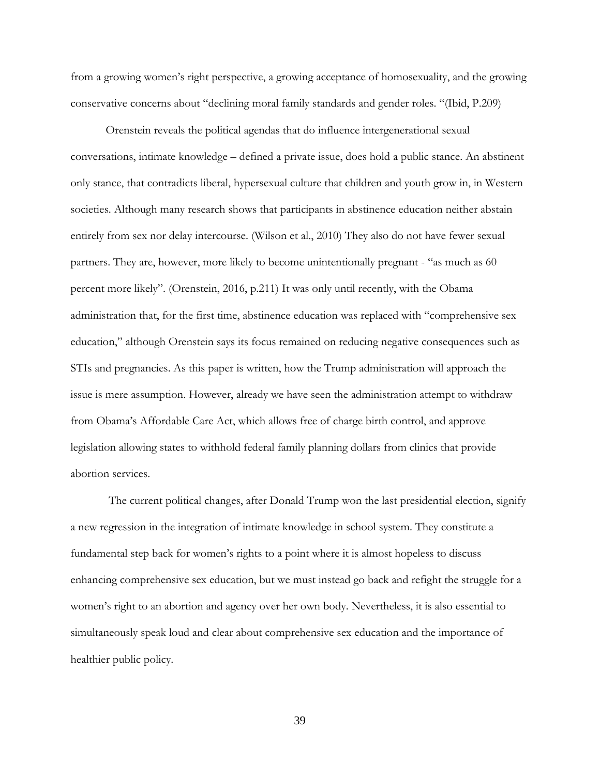from a growing women's right perspective, a growing acceptance of homosexuality, and the growing conservative concerns about "declining moral family standards and gender roles. "(Ibid, P.209)

Orenstein reveals the political agendas that do influence intergenerational sexual conversations, intimate knowledge – defined a private issue, does hold a public stance. An abstinent only stance, that contradicts liberal, hypersexual culture that children and youth grow in, in Western societies. Although many research shows that participants in abstinence education neither abstain entirely from sex nor delay intercourse. (Wilson et al., 2010) They also do not have fewer sexual partners. They are, however, more likely to become unintentionally pregnant - "as much as 60 percent more likely". (Orenstein, 2016, p.211) It was only until recently, with the Obama administration that, for the first time, abstinence education was replaced with "comprehensive sex education," although Orenstein says its focus remained on reducing negative consequences such as STIs and pregnancies. As this paper is written, how the Trump administration will approach the issue is mere assumption. However, already we have seen the administration attempt to withdraw from Obama's Affordable Care Act, which allows free of charge birth control, and approve legislation allowing states to withhold federal family planning dollars from clinics that provide abortion services.

The current political changes, after Donald Trump won the last presidential election, signify a new regression in the integration of intimate knowledge in school system. They constitute a fundamental step back for women's rights to a point where it is almost hopeless to discuss enhancing comprehensive sex education, but we must instead go back and refight the struggle for a women's right to an abortion and agency over her own body. Nevertheless, it is also essential to simultaneously speak loud and clear about comprehensive sex education and the importance of healthier public policy.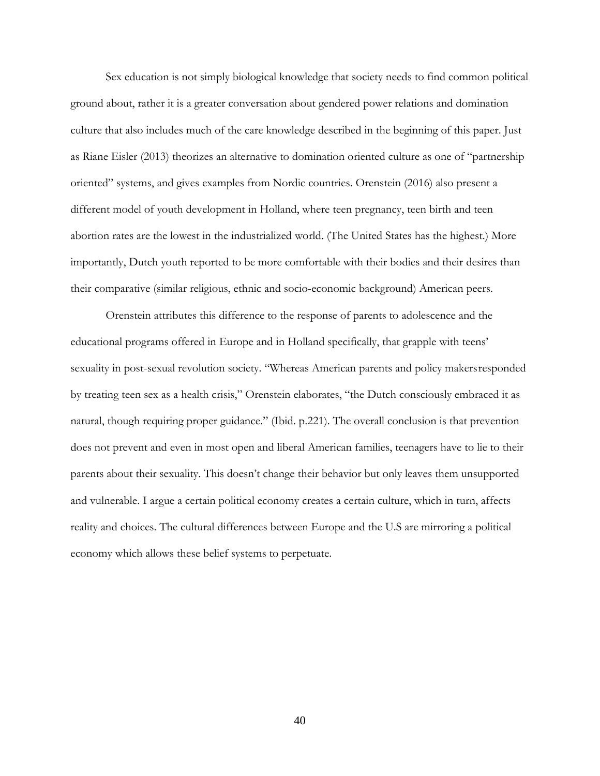Sex education is not simply biological knowledge that society needs to find common political ground about, rather it is a greater conversation about gendered power relations and domination culture that also includes much of the care knowledge described in the beginning of this paper. Just as Riane Eisler (2013) theorizes an alternative to domination oriented culture as one of "partnership oriented" systems, and gives examples from Nordic countries. Orenstein (2016) also present a different model of youth development in Holland, where teen pregnancy, teen birth and teen abortion rates are the lowest in the industrialized world. (The United States has the highest.) More importantly, Dutch youth reported to be more comfortable with their bodies and their desires than their comparative (similar religious, ethnic and socio-economic background) American peers.

Orenstein attributes this difference to the response of parents to adolescence and the educational programs offered in Europe and in Holland specifically, that grapple with teens' sexuality in post-sexual revolution society. "Whereas American parents and policy makersresponded by treating teen sex as a health crisis," Orenstein elaborates, "the Dutch consciously embraced it as natural, though requiring proper guidance." (Ibid. p.221). The overall conclusion is that prevention does not prevent and even in most open and liberal American families, teenagers have to lie to their parents about their sexuality. This doesn't change their behavior but only leaves them unsupported and vulnerable. I argue a certain political economy creates a certain culture, which in turn, affects reality and choices. The cultural differences between Europe and the U.S are mirroring a political economy which allows these belief systems to perpetuate.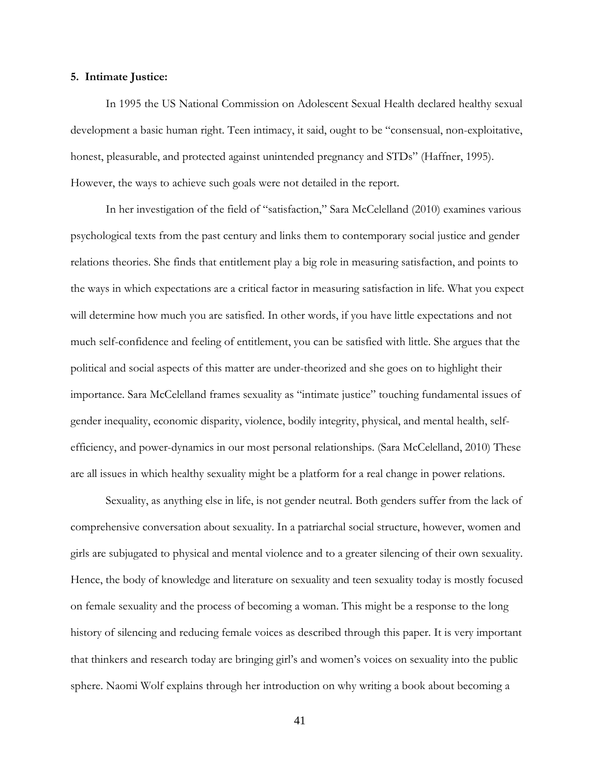#### <span id="page-48-0"></span>**5. Intimate Justice:**

In 1995 the US National Commission on Adolescent Sexual Health declared healthy sexual development a basic human right. Teen intimacy, it said, ought to be "consensual, non-exploitative, honest, pleasurable, and protected against unintended pregnancy and STDs" (Haffner, 1995). However, the ways to achieve such goals were not detailed in the report.

In her investigation of the field of "satisfaction," Sara McCelelland (2010) examines various psychological texts from the past century and links them to contemporary social justice and gender relations theories. She finds that entitlement play a big role in measuring satisfaction, and points to the ways in which expectations are a critical factor in measuring satisfaction in life. What you expect will determine how much you are satisfied. In other words, if you have little expectations and not much self-confidence and feeling of entitlement, you can be satisfied with little. She argues that the political and social aspects of this matter are under-theorized and she goes on to highlight their importance. Sara McCelelland frames sexuality as "intimate justice" touching fundamental issues of gender inequality, economic disparity, violence, bodily integrity, physical, and mental health, selfefficiency, and power-dynamics in our most personal relationships. (Sara McCelelland, 2010) These are all issues in which healthy sexuality might be a platform for a real change in power relations.

Sexuality, as anything else in life, is not gender neutral. Both genders suffer from the lack of comprehensive conversation about sexuality. In a patriarchal social structure, however, women and girls are subjugated to physical and mental violence and to a greater silencing of their own sexuality. Hence, the body of knowledge and literature on sexuality and teen sexuality today is mostly focused on female sexuality and the process of becoming a woman. This might be a response to the long history of silencing and reducing female voices as described through this paper. It is very important that thinkers and research today are bringing girl's and women's voices on sexuality into the public sphere. Naomi Wolf explains through her introduction on why writing a book about becoming a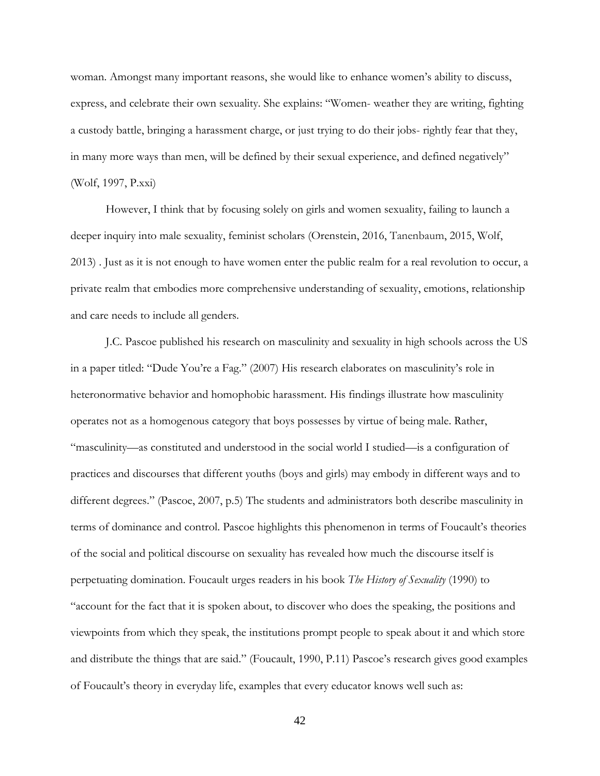woman. Amongst many important reasons, she would like to enhance women's ability to discuss, express, and celebrate their own sexuality. She explains: "Women- weather they are writing, fighting a custody battle, bringing a harassment charge, or just trying to do their jobs- rightly fear that they, in many more ways than men, will be defined by their sexual experience, and defined negatively" (Wolf, 1997, P.xxi)

However, I think that by focusing solely on girls and women sexuality, failing to launch a deeper inquiry into male sexuality, feminist scholars (Orenstein, 2016, Tanenbaum, 2015, Wolf, 2013) . Just as it is not enough to have women enter the public realm for a real revolution to occur, a private realm that embodies more comprehensive understanding of sexuality, emotions, relationship and care needs to include all genders.

J.C. Pascoe published his research on masculinity and sexuality in high schools across the US in a paper titled: "Dude You're a Fag." (2007) His research elaborates on masculinity's role in heteronormative behavior and homophobic harassment. His findings illustrate how masculinity operates not as a homogenous category that boys possesses by virtue of being male. Rather, "masculinity—as constituted and understood in the social world I studied—is a configuration of practices and discourses that different youths (boys and girls) may embody in different ways and to different degrees." (Pascoe, 2007, p.5) The students and administrators both describe masculinity in terms of dominance and control. Pascoe highlights this phenomenon in terms of Foucault's theories of the social and political discourse on sexuality has revealed how much the discourse itself is perpetuating domination. Foucault urges readers in his book *The History of Sexuality* (1990) to "account for the fact that it is spoken about, to discover who does the speaking, the positions and viewpoints from which they speak, the institutions prompt people to speak about it and which store and distribute the things that are said." (Foucault, 1990, P.11) Pascoe's research gives good examples of Foucault's theory in everyday life, examples that every educator knows well such as: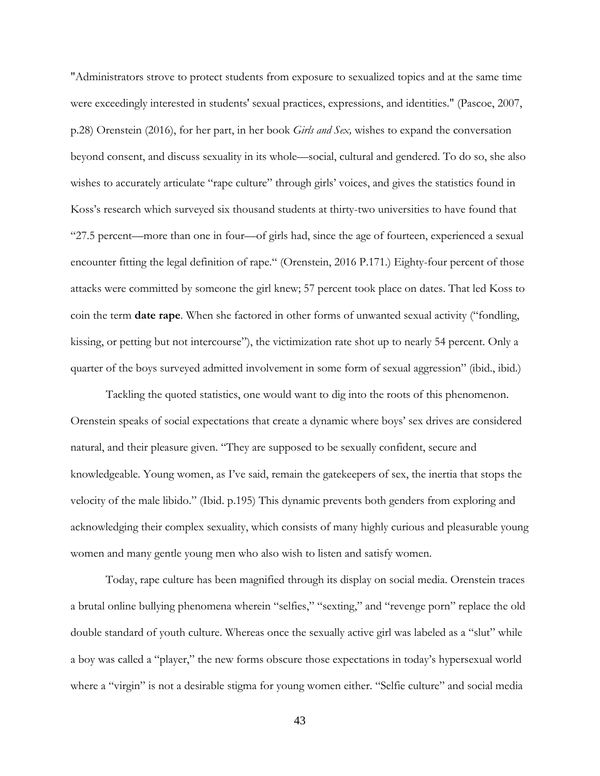"Administrators strove to protect students from exposure to sexualized topics and at the same time were exceedingly interested in students' sexual practices, expressions, and identities." (Pascoe, 2007, p.28) Orenstein (2016), for her part, in her book *Girls and Sex,* wishes to expand the conversation beyond consent, and discuss sexuality in its whole—social, cultural and gendered. To do so, she also wishes to accurately articulate "rape culture" through girls' voices, and gives the statistics found in Koss's research which surveyed six thousand students at thirty-two universities to have found that "27.5 percent—more than one in four—of girls had, since the age of fourteen, experienced a sexual encounter fitting the legal definition of rape." (Orenstein, 2016 P.171.) Eighty-four percent of those attacks were committed by someone the girl knew; 57 percent took place on dates. That led Koss to coin the term **date rape**. When she factored in other forms of unwanted sexual activity ("fondling, kissing, or petting but not intercourse"), the victimization rate shot up to nearly 54 percent. Only a quarter of the boys surveyed admitted involvement in some form of sexual aggression" (ibid., ibid.)

Tackling the quoted statistics, one would want to dig into the roots of this phenomenon. Orenstein speaks of social expectations that create a dynamic where boys' sex drives are considered natural, and their pleasure given. "They are supposed to be sexually confident, secure and knowledgeable. Young women, as I've said, remain the gatekeepers of sex, the inertia that stops the velocity of the male libido." (Ibid. p.195) This dynamic prevents both genders from exploring and acknowledging their complex sexuality, which consists of many highly curious and pleasurable young women and many gentle young men who also wish to listen and satisfy women.

Today, rape culture has been magnified through its display on social media. Orenstein traces a brutal online bullying phenomena wherein "selfies," "sexting," and "revenge porn" replace the old double standard of youth culture. Whereas once the sexually active girl was labeled as a "slut" while a boy was called a "player," the new forms obscure those expectations in today's hypersexual world where a "virgin" is not a desirable stigma for young women either. "Selfie culture" and social media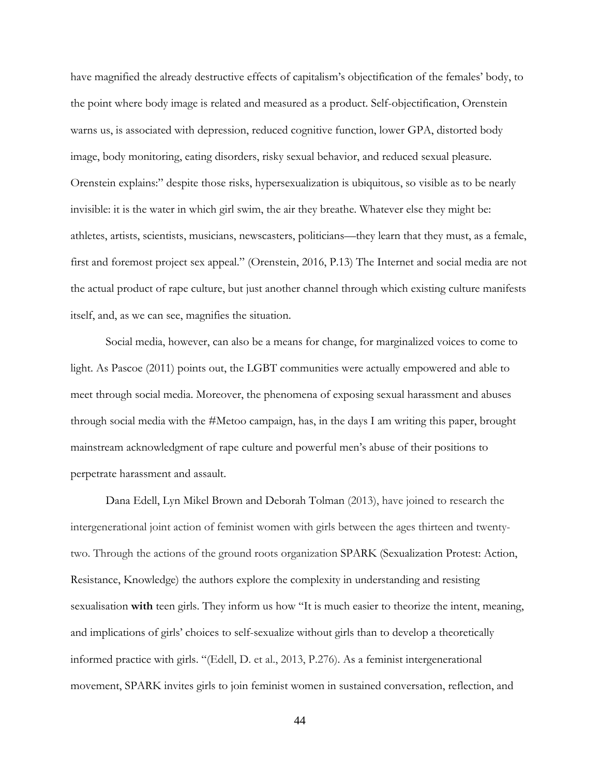have magnified the already destructive effects of capitalism's objectification of the females' body, to the point where body image is related and measured as a product. Self-objectification, Orenstein warns us, is associated with depression, reduced cognitive function, lower GPA, distorted body image, body monitoring, eating disorders, risky sexual behavior, and reduced sexual pleasure. Orenstein explains:" despite those risks, hypersexualization is ubiquitous, so visible as to be nearly invisible: it is the water in which girl swim, the air they breathe. Whatever else they might be: athletes, artists, scientists, musicians, newscasters, politicians—they learn that they must, as a female, first and foremost project sex appeal." (Orenstein, 2016, P.13) The Internet and social media are not the actual product of rape culture, but just another channel through which existing culture manifests itself, and, as we can see, magnifies the situation.

Social media, however, can also be a means for change, for marginalized voices to come to light. As Pascoe (2011) points out, the LGBT communities were actually empowered and able to meet through social media. Moreover, the phenomena of exposing sexual harassment and abuses through social media with the #Metoo campaign, has, in the days I am writing this paper, brought mainstream acknowledgment of rape culture and powerful men's abuse of their positions to perpetrate harassment and assault.

Dana Edell, Lyn Mikel Brown and Deborah Tolman (2013), have joined to research the intergenerational joint action of feminist women with girls between the ages thirteen and twentytwo. Through the actions of the ground roots organization SPARK (Sexualization Protest: Action, Resistance, Knowledge) the authors explore the complexity in understanding and resisting sexualisation **with** teen girls. They inform us how "It is much easier to theorize the intent, meaning, and implications of girls' choices to self-sexualize without girls than to develop a theoretically informed practice with girls. "(Edell, D. et al., 2013, P.276). As a feminist intergenerational movement, SPARK invites girls to join feminist women in sustained conversation, reflection, and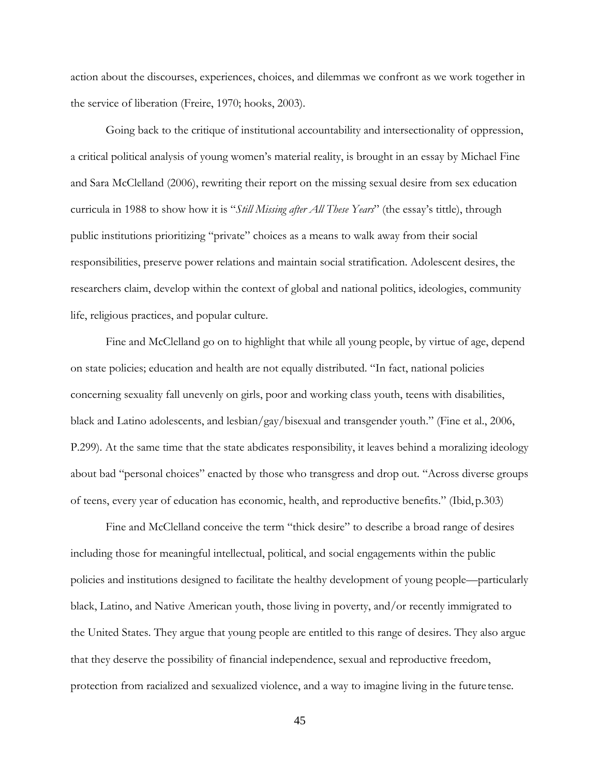action about the discourses, experiences, choices, and dilemmas we confront as we work together in the service of liberation (Freire, 1970; hooks, 2003).

Going back to the critique of institutional accountability and intersectionality of oppression, a critical political analysis of young women's material reality, is brought in an essay by Michael Fine and Sara McClelland (2006), rewriting their report on the missing sexual desire from sex education curricula in 1988 to show how it is "*Still Missing after All These Years*" (the essay's tittle), through public institutions prioritizing "private" choices as a means to walk away from their social responsibilities, preserve power relations and maintain social stratification. Adolescent desires, the researchers claim, develop within the context of global and national politics, ideologies, community life, religious practices, and popular culture.

Fine and McClelland go on to highlight that while all young people, by virtue of age, depend on state policies; education and health are not equally distributed. "In fact, national policies concerning sexuality fall unevenly on girls, poor and working class youth, teens with disabilities, black and Latino adolescents, and lesbian/gay/bisexual and transgender youth." (Fine et al., 2006, P.299). At the same time that the state abdicates responsibility, it leaves behind a moralizing ideology about bad "personal choices" enacted by those who transgress and drop out. "Across diverse groups of teens, every year of education has economic, health, and reproductive benefits." (Ibid,p.303)

Fine and McClelland conceive the term "thick desire" to describe a broad range of desires including those for meaningful intellectual, political, and social engagements within the public policies and institutions designed to facilitate the healthy development of young people—particularly black, Latino, and Native American youth, those living in poverty, and/or recently immigrated to the United States. They argue that young people are entitled to this range of desires. They also argue that they deserve the possibility of financial independence, sexual and reproductive freedom, protection from racialized and sexualized violence, and a way to imagine living in the future tense.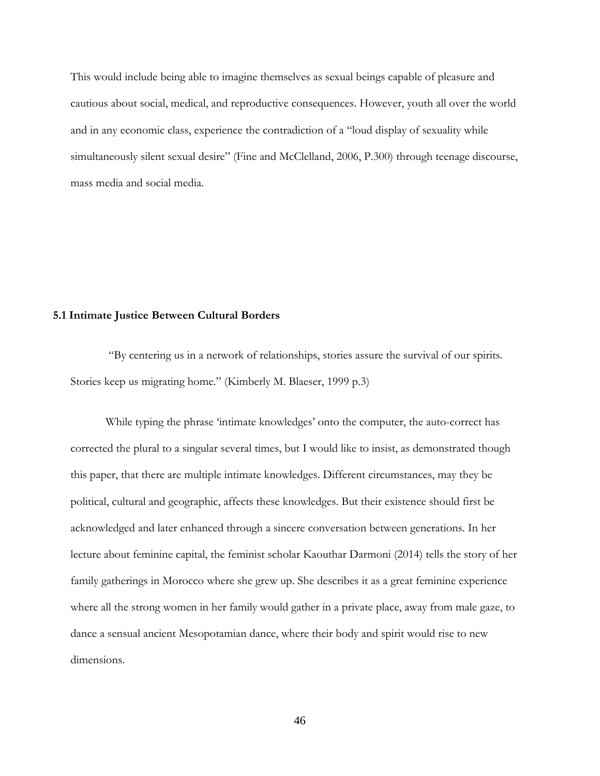This would include being able to imagine themselves as sexual beings capable of pleasure and cautious about social, medical, and reproductive consequences. However, youth all over the world and in any economic class, experience the contradiction of a "loud display of sexuality while simultaneously silent sexual desire" (Fine and McClelland, 2006, P.300) through teenage discourse, mass media and social media.

#### <span id="page-53-0"></span>**5.1 Intimate Justice Between Cultural Borders**

"By centering us in a network of relationships, stories assure the survival of our spirits. Stories keep us migrating home." (Kimberly M. Blaeser, 1999 p.3)

While typing the phrase 'intimate knowledges' onto the computer, the auto-correct has corrected the plural to a singular several times, but I would like to insist, as demonstrated though this paper, that there are multiple intimate knowledges. Different circumstances, may they be political, cultural and geographic, affects these knowledges. But their existence should first be acknowledged and later enhanced through a sincere conversation between generations. In her lecture about feminine capital, the feminist scholar Kaouthar Darmoni (2014) tells the story of her family gatherings in Morocco where she grew up. She describes it as a great feminine experience where all the strong women in her family would gather in a private place, away from male gaze, to dance a sensual ancient Mesopotamian dance, where their body and spirit would rise to new dimensions.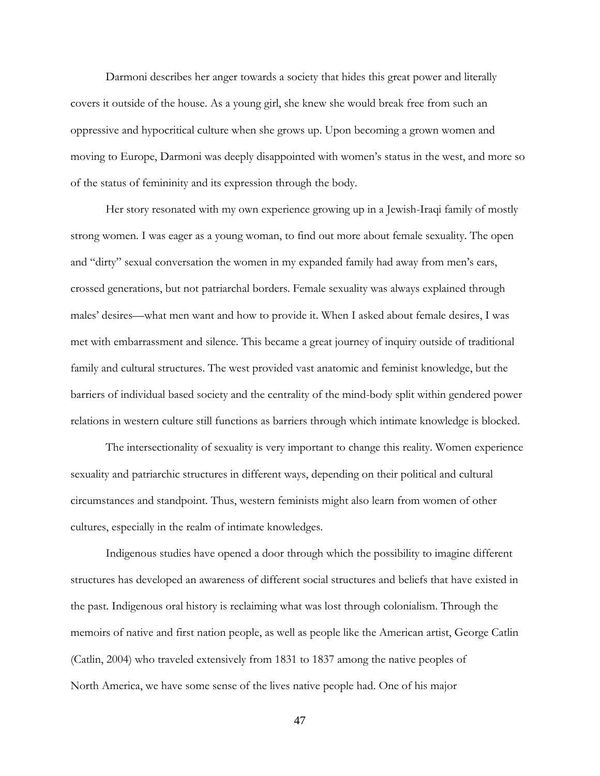Darmoni describes her anger towards a society that hides this great power and literally covers it outside of the house. As a young girl, she knew she would break free from such an oppressive and hypocritical culture when she grows up. Upon becoming a grown women and moving to Europe, Darmoni was deeply disappointed with women's status in the west, and more so of the status of femininity and its expression through the body.

Her story resonated with my own experience growing up in a Jewish-Iraqi family of mostly strong women. I was eager as a young woman, to find out more about female sexuality. The open and "dirty" sexual conversation the women in my expanded family had away from men's ears, crossed generations, but not patriarchal borders. Female sexuality was always explained through males' desires—what men want and how to provide it. When I asked about female desires, I was met with embarrassment and silence. This became a great journey of inquiry outside of traditional family and cultural structures. The west provided vast anatomic and feminist knowledge, but the barriers of individual based society and the centrality of the mind-body split within gendered power relations in western culture still functions as barriers through which intimate knowledge is blocked.

The intersectionality of sexuality is very important to change this reality. Women experience sexuality and patriarchic structures in different ways, depending on their political and cultural circumstances and standpoint. Thus, western feminists might also learn from women of other cultures, especially in the realm of intimate knowledges.

Indigenous studies have opened a door through which the possibility to imagine different structures has developed an awareness of different social structures and beliefs that have existed in the past. Indigenous oral history is reclaiming what was lost through colonialism. Through the memoirs of native and first nation people, as well as people like the American artist, George Catlin (Catlin, 2004) who traveled extensively from 1831 to 1837 among the native peoples of North America, we have some sense of the lives native people had. One of his major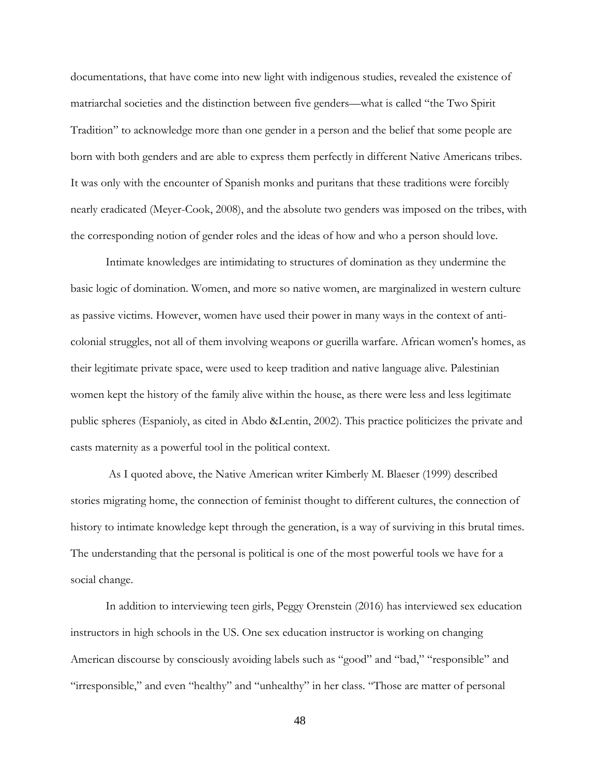documentations, that have come into new light with indigenous studies, revealed the existence of matriarchal societies and the distinction between five genders—what is called "the Two Spirit Tradition" to acknowledge more than one gender in a person and the belief that some people are born with both genders and are able to express them perfectly in different Native Americans tribes. It was only with the encounter of Spanish monks and puritans that these traditions were forcibly nearly eradicated (Meyer-Cook, 2008), and the absolute two genders was imposed on the tribes, with the corresponding notion of gender roles and the ideas of how and who a person should love.

Intimate knowledges are intimidating to structures of domination as they undermine the basic logic of domination. Women, and more so native women, are marginalized in western culture as passive victims. However, women have used their power in many ways in the context of anticolonial struggles, not all of them involving weapons or guerilla warfare. African women's homes, as their legitimate private space, were used to keep tradition and native language alive. Palestinian women kept the history of the family alive within the house, as there were less and less legitimate public spheres (Espanioly, as cited in Abdo &Lentin, 2002). This practice politicizes the private and casts maternity as a powerful tool in the political context.

As I quoted above, the Native American writer Kimberly M. Blaeser (1999) described stories migrating home, the connection of feminist thought to different cultures, the connection of history to intimate knowledge kept through the generation, is a way of surviving in this brutal times. The understanding that the personal is political is one of the most powerful tools we have for a social change.

In addition to interviewing teen girls, Peggy Orenstein (2016) has interviewed sex education instructors in high schools in the US. One sex education instructor is working on changing American discourse by consciously avoiding labels such as "good" and "bad," "responsible" and "irresponsible," and even "healthy" and "unhealthy" in her class. "Those are matter of personal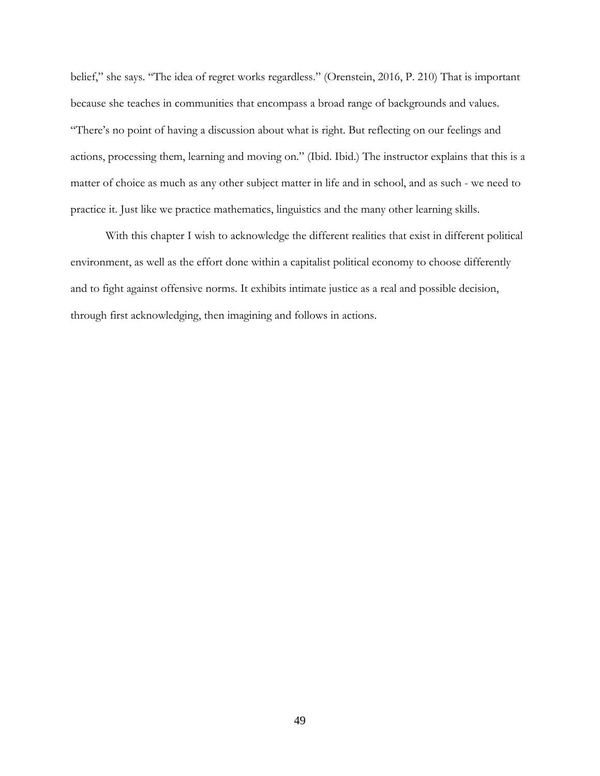belief," she says. "The idea of regret works regardless." (Orenstein, 2016, P. 210) That is important because she teaches in communities that encompass a broad range of backgrounds and values. "There's no point of having a discussion about what is right. But reflecting on our feelings and actions, processing them, learning and moving on." (Ibid. Ibid.) The instructor explains that this is a matter of choice as much as any other subject matter in life and in school, and as such - we need to practice it. Just like we practice mathematics, linguistics and the many other learning skills.

With this chapter I wish to acknowledge the different realities that exist in different political environment, as well as the effort done within a capitalist political economy to choose differently and to fight against offensive norms. It exhibits intimate justice as a real and possible decision, through first acknowledging, then imagining and follows in actions.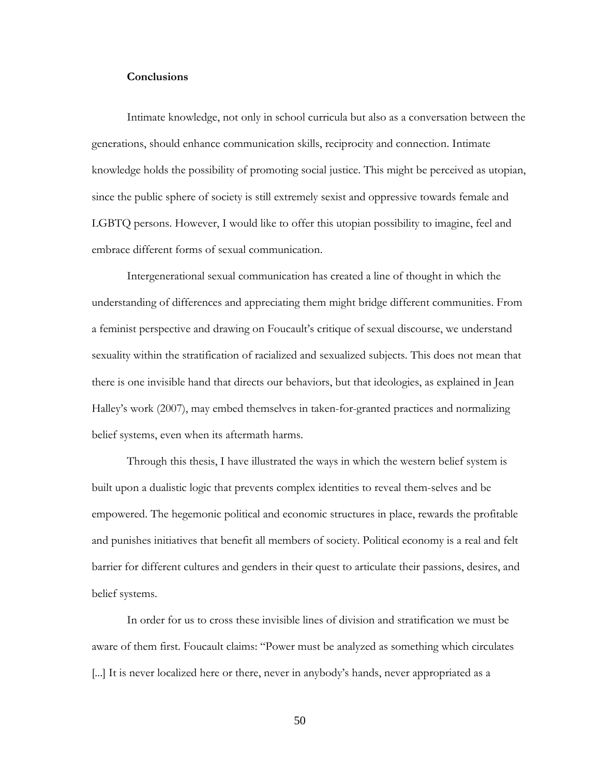#### **Conclusions**

<span id="page-57-0"></span>Intimate knowledge, not only in school curricula but also as a conversation between the generations, should enhance communication skills, reciprocity and connection. Intimate knowledge holds the possibility of promoting social justice. This might be perceived as utopian, since the public sphere of society is still extremely sexist and oppressive towards female and LGBTQ persons. However, I would like to offer this utopian possibility to imagine, feel and embrace different forms of sexual communication.

Intergenerational sexual communication has created a line of thought in which the understanding of differences and appreciating them might bridge different communities. From a feminist perspective and drawing on Foucault's critique of sexual discourse, we understand sexuality within the stratification of racialized and sexualized subjects. This does not mean that there is one invisible hand that directs our behaviors, but that ideologies, as explained in Jean Halley's work (2007), may embed themselves in taken-for-granted practices and normalizing belief systems, even when its aftermath harms.

Through this thesis, I have illustrated the ways in which the western belief system is built upon a dualistic logic that prevents complex identities to reveal them-selves and be empowered. The hegemonic political and economic structures in place, rewards the profitable and punishes initiatives that benefit all members of society. Political economy is a real and felt barrier for different cultures and genders in their quest to articulate their passions, desires, and belief systems.

In order for us to cross these invisible lines of division and stratification we must be aware of them first. Foucault claims: "Power must be analyzed as something which circulates [...] It is never localized here or there, never in anybody's hands, never appropriated as a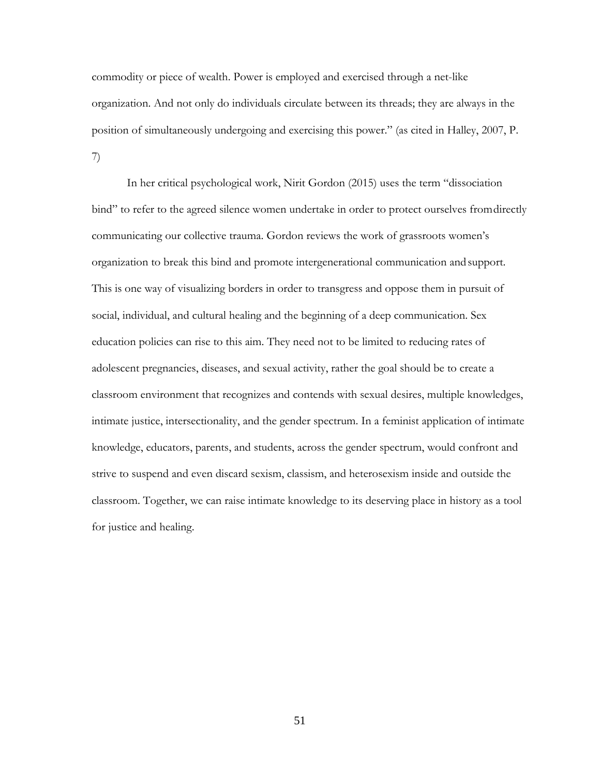commodity or piece of wealth. Power is employed and exercised through a net-like organization. And not only do individuals circulate between its threads; they are always in the position of simultaneously undergoing and exercising this power." (as cited in Halley, 2007, P. 7)

In her critical psychological work, Nirit Gordon (2015) uses the term "dissociation bind" to refer to the agreed silence women undertake in order to protect ourselves fromdirectly communicating our collective trauma. Gordon reviews the work of grassroots women's organization to break this bind and promote intergenerational communication andsupport. This is one way of visualizing borders in order to transgress and oppose them in pursuit of social, individual, and cultural healing and the beginning of a deep communication. Sex education policies can rise to this aim. They need not to be limited to reducing rates of adolescent pregnancies, diseases, and sexual activity, rather the goal should be to create a classroom environment that recognizes and contends with sexual desires, multiple knowledges, intimate justice, intersectionality, and the gender spectrum. In a feminist application of intimate knowledge, educators, parents, and students, across the gender spectrum, would confront and strive to suspend and even discard sexism, classism, and heterosexism inside and outside the classroom. Together, we can raise intimate knowledge to its deserving place in history as a tool for justice and healing.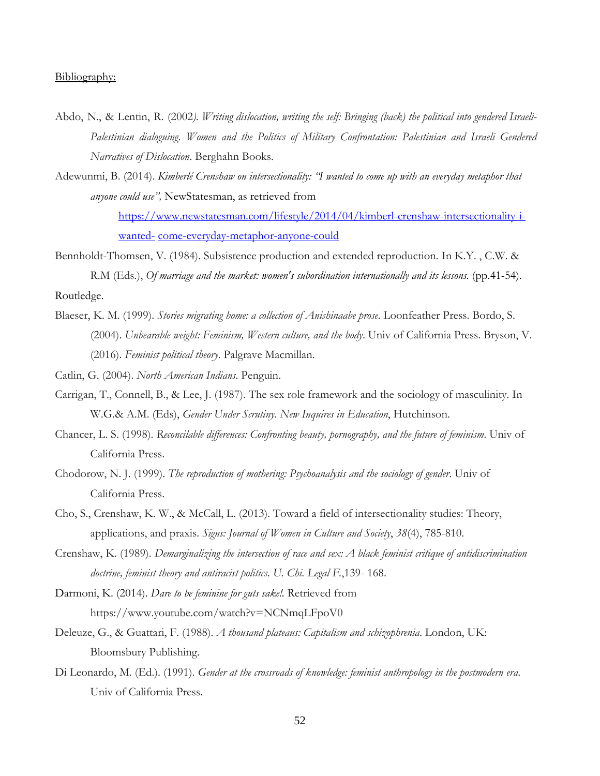#### Bibliography:

- Abdo, N., & Lentin, R. (2002*). Writing dislocation, writing the self: Bringing (back) the political into gendered Israeli-Palestinian dialoguing. Women and the Politics of Military Confrontation: Palestinian and Israeli Gendered Narratives of Dislocation*. Berghahn Books.
- Adewunmi, B. (2014). *Kimberlé Crenshaw on intersectionality: "I wanted to come up with an everyday metaphor that anyone could use",* NewStatesman, as retrieved from

[https://www.newstatesman.com/lifestyle/2014/04/kimberl-crenshaw-intersectionality-i](https://www.newstatesman.com/lifestyle/2014/04/kimberl-crenshaw-intersectionality-i-wanted-)[wanted-](https://www.newstatesman.com/lifestyle/2014/04/kimberl-crenshaw-intersectionality-i-wanted-) [come-everyday-metaphor-anyone-could](https://www.newstatesman.com/lifestyle/2014/04/kimberl-crenshaw-intersectionality-i-wanted-come-everyday-metaphor-anyone-could)

Bennholdt-Thomsen, V. (1984). Subsistence production and extended reproduction*.* In K.Y. , C.W. & R.M (Eds.), *Of marriage and the market: women's subordination internationally and its lessons.* (pp.41-54). Routledge.

Blaeser, K. M. (1999). *Stories migrating home: a collection of Anishinaabe prose*. Loonfeather Press. Bordo, S. (2004). *Unbearable weight: Feminism, Western culture, and the body*. Univ of California Press. Bryson, V. (2016). *Feminist political theory*. Palgrave Macmillan.

Catlin, G. (2004). *North American Indians*. Penguin.

- Carrigan, T., Connell, B., & Lee, J. (1987). The sex role framework and the sociology of masculinity. In W.G.& A.M. (Eds), *Gender Under Scrutiny. New Inquires in Education*, Hutchinson.
- Chancer, L. S. (1998). *Reconcilable differences: Confronting beauty, pornography, and the future of feminism*. Univ of California Press.

Chodorow, N. J. (1999). *The reproduction of mothering: Psychoanalysis and the sociology of gender*. Univ of California Press.

- Cho, S., Crenshaw, K. W., & McCall, L. (2013). Toward a field of intersectionality studies: Theory, applications, and praxis. *Signs: Journal of Women in Culture and Society*, *38*(4), 785-810.
- Crenshaw, K. (1989). *Demarginalizing the intersection of race and sex: A black feminist critique of antidiscrimination doctrine, feminist theory and antiracist politics*. *U. Chi. Legal F.*,139- 168.
- Darmoni, K. (2014). *Dare to be feminine for guts sake!.* Retrieved from http[s://www.youtube.com/watch?v=NCNmqLFpoV0](http://www.youtube.com/watch?v=NCNmqLFpoV0)
- Deleuze, G., & Guattari, F. (1988). *A thousand plateaus: Capitalism and schizophrenia*. London, UK: Bloomsbury Publishing.
- Di Leonardo, M. (Ed.). (1991). *Gender at the crossroads of knowledge: feminist anthropology in the postmodern era*. Univ of California Press.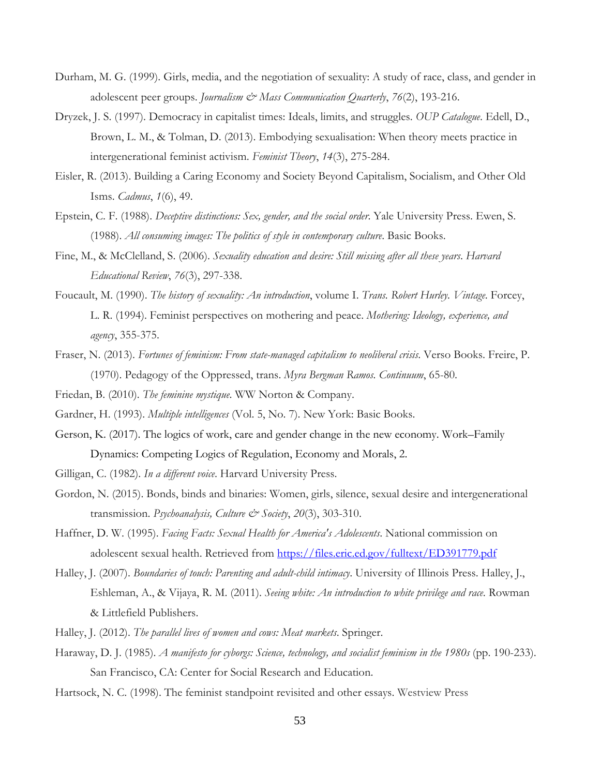- Durham, M. G. (1999). Girls, media, and the negotiation of sexuality: A study of race, class, and gender in adolescent peer groups. *Journalism & Mass Communication Quarterly*, *76*(2), 193-216.
- Dryzek, J. S. (1997). Democracy in capitalist times: Ideals, limits, and struggles. *OUP Catalogue*. Edell, D., Brown, L. M., & Tolman, D. (2013). Embodying sexualisation: When theory meets practice in intergenerational feminist activism. *Feminist Theory*, *14*(3), 275-284.
- Eisler, R. (2013). Building a Caring Economy and Society Beyond Capitalism, Socialism, and Other Old Isms. *Cadmus*, *1*(6), 49.
- Epstein, C. F. (1988). *Deceptive distinctions: Sex, gender, and the social order*. Yale University Press. Ewen, S. (1988). *All consuming images: The politics of style in contemporary culture*. Basic Books.
- Fine, M., & McClelland, S. (2006). *Sexuality education and desire: Still missing after all these years*. *Harvard Educational Review*, *76*(3), 297-338.
- Foucault, M. (1990). *The history of sexuality: An introduction*, volume I. *Trans. Robert Hurley. Vintage*. Forcey, L. R. (1994). Feminist perspectives on mothering and peace. *Mothering: Ideology, experience, and agency*, 355-375.
- Fraser, N. (2013). *Fortunes of feminism: From state-managed capitalism to neoliberal crisis*. Verso Books. Freire, P. (1970). Pedagogy of the Oppressed, trans. *Myra Bergman Ramos. Continuum*, 65-80.
- Friedan, B. (2010). *The feminine mystique*. WW Norton & Company.
- Gardner, H. (1993). *Multiple intelligences* (Vol. 5, No. 7). New York: Basic Books.
- Gerson, K. (2017). The logics of work, care and gender change in the new economy. Work–Family Dynamics: Competing Logics of Regulation, Economy and Morals, 2.
- Gilligan, C. (1982). *In a different voice*. Harvard University Press.
- Gordon, N. (2015). Bonds, binds and binaries: Women, girls, silence, sexual desire and intergenerational transmission. *Psychoanalysis, Culture & Society*, *20*(3), 303-310.
- Haffner, D. W. (1995). *Facing Facts: Sexual Health for America's Adolescents*. National commission on adolescent sexual health. Retrieved from<https://files.eric.ed.gov/fulltext/ED391779.pdf>
- Halley, J. (2007). *Boundaries of touch: Parenting and adult-child intimacy*. University of Illinois Press. Halley, J., Eshleman, A., & Vijaya, R. M. (2011). *Seeing white: An introduction to white privilege and race*. Rowman & Littlefield Publishers.
- Halley, J. (2012). *The parallel lives of women and cows: Meat markets*. Springer.
- Haraway, D. J. (1985). *A manifesto for cyborgs: Science, technology, and socialist feminism in the 1980s* (pp. 190-233). San Francisco, CA: Center for Social Research and Education.
- Hartsock, N. C. (1998). The feminist standpoint revisited and other essays. Westview Press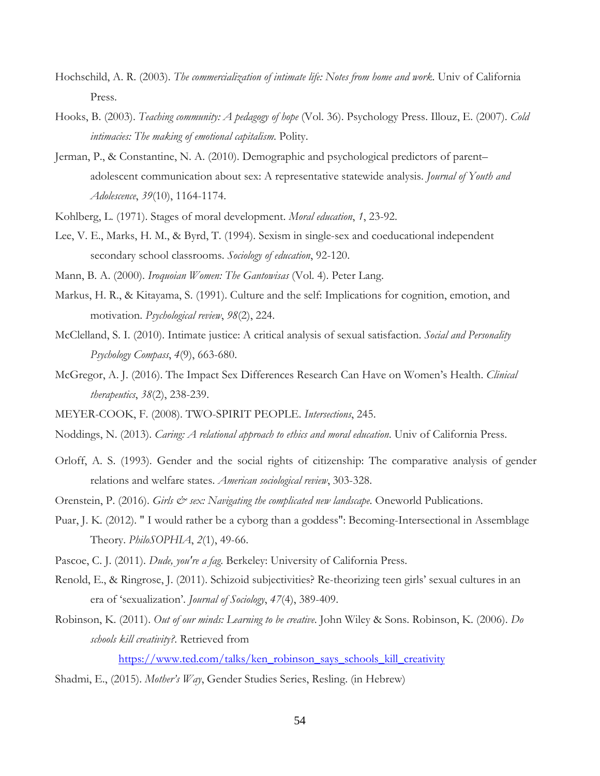- Hochschild, A. R. (2003). *The commercialization of intimate life: Notes from home and work*. Univ of California Press.
- Hooks, B. (2003). *Teaching community: A pedagogy of hope* (Vol. 36). Psychology Press. Illouz, E. (2007). *Cold intimacies: The making of emotional capitalism*. Polity.
- Jerman, P., & Constantine, N. A. (2010). Demographic and psychological predictors of parent– adolescent communication about sex: A representative statewide analysis. *Journal of Youth and Adolescence*, *39*(10), 1164-1174.
- Kohlberg, L. (1971). Stages of moral development. *Moral education*, *1*, 23-92.
- Lee, V. E., Marks, H. M., & Byrd, T. (1994). Sexism in single-sex and coeducational independent secondary school classrooms. *Sociology of education*, 92-120.
- Mann, B. A. (2000). *Iroquoian Women: The Gantowisas* (Vol. 4). Peter Lang.
- Markus, H. R., & Kitayama, S. (1991). Culture and the self: Implications for cognition, emotion, and motivation. *Psychological review*, *98*(2), 224.
- McClelland, S. I. (2010). Intimate justice: A critical analysis of sexual satisfaction. *Social and Personality Psychology Compass*, *4*(9), 663-680.
- McGregor, A. J. (2016). The Impact Sex Differences Research Can Have on Women's Health. *Clinical therapeutics*, *38*(2), 238-239.
- MEYER-COOK, F. (2008). TWO-SPIRIT PEOPLE. *Intersections*, 245.
- Noddings, N. (2013). *Caring: A relational approach to ethics and moral education*. Univ of California Press.
- Orloff, A. S. (1993). Gender and the social rights of citizenship: The comparative analysis of gender relations and welfare states. *American sociological review*, 303-328.
- Orenstein, P. (2016). *Girls & sex: Navigating the complicated new landscape*. Oneworld Publications.
- Puar, J. K. (2012). " I would rather be a cyborg than a goddess": Becoming-Intersectional in Assemblage Theory. *PhiloSOPHIA*, *2*(1), 49-66.
- Pascoe, C. J. (2011). *Dude, you're a fag*. Berkeley: University of California Press.
- Renold, E., & Ringrose, J. (2011). Schizoid subjectivities? Re-theorizing teen girls' sexual cultures in an era of 'sexualization'. *Journal of Sociology*, *47*(4), 389-409.
- Robinson, K. (2011). *Out of our minds: Learning to be creative*. John Wiley & Sons. Robinson, K. (2006). *Do schools kill creativity?*. Retrieved from

[https://www.ted.com/talks/ken\\_robinson\\_says\\_schools\\_kill\\_creativity](https://www.ted.com/talks/ken_robinson_says_schools_kill_creativity)

Shadmi, E., (2015). *Mother's Way*, Gender Studies Series, Resling. (in Hebrew)